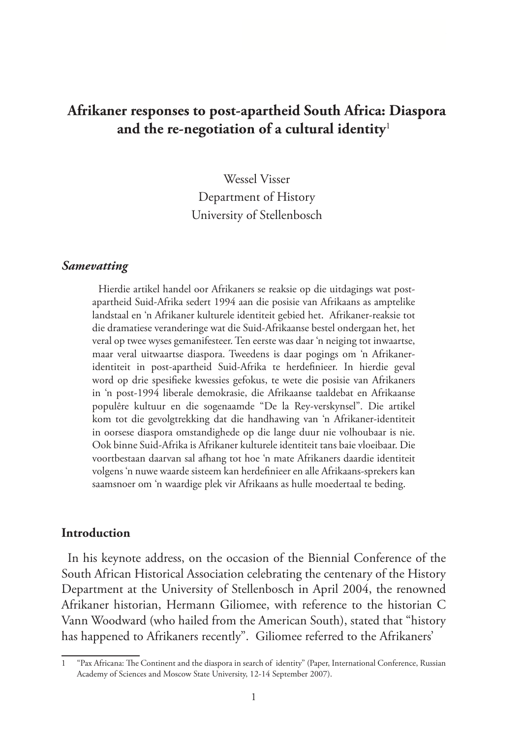# **Afrikaner responses to post-apartheid South Africa: Diaspora and the re-negotiation of a cultural identity**<sup>1</sup>

Wessel Visser Department of History University of Stellenbosch

#### *Samevatting*

Hierdie artikel handel oor Afrikaners se reaksie op die uitdagings wat postapartheid Suid-Afrika sedert 1994 aan die posisie van Afrikaans as amptelike landstaal en 'n Afrikaner kulturele identiteit gebied het. Afrikaner-reaksie tot die dramatiese veranderinge wat die Suid-Afrikaanse bestel ondergaan het, het veral op twee wyses gemanifesteer. Ten eerste was daar 'n neiging tot inwaartse, maar veral uitwaartse diaspora. Tweedens is daar pogings om 'n Afrikaneridentiteit in post-apartheid Suid-Afrika te herdefinieer. In hierdie geval word op drie spesifieke kwessies gefokus, te wete die posisie van Afrikaners in 'n post-1994 liberale demokrasie, die Afrikaanse taaldebat en Afrikaanse populêre kultuur en die sogenaamde "De la Rey-verskynsel". Die artikel kom tot die gevolgtrekking dat die handhawing van 'n Afrikaner-identiteit in oorsese diaspora omstandighede op die lange duur nie volhoubaar is nie. Ook binne Suid-Afrika is Afrikaner kulturele identiteit tans baie vloeibaar. Die voortbestaan daarvan sal afhang tot hoe 'n mate Afrikaners daardie identiteit volgens 'n nuwe waarde sisteem kan herdefinieer en alle Afrikaans-sprekers kan saamsnoer om 'n waardige plek vir Afrikaans as hulle moedertaal te beding.

#### **Introduction**

In his keynote address, on the occasion of the Biennial Conference of the South African Historical Association celebrating the centenary of the History Department at the University of Stellenbosch in April 2004, the renowned Afrikaner historian, Hermann Giliomee, with reference to the historian C Vann Woodward (who hailed from the American South), stated that "history has happened to Afrikaners recently". Giliomee referred to the Afrikaners'

<sup>1</sup> "Pax Africana: The Continent and the diaspora in search of identity" (Paper, International Conference, Russian Academy of Sciences and Moscow State University, 12-14 September 2007).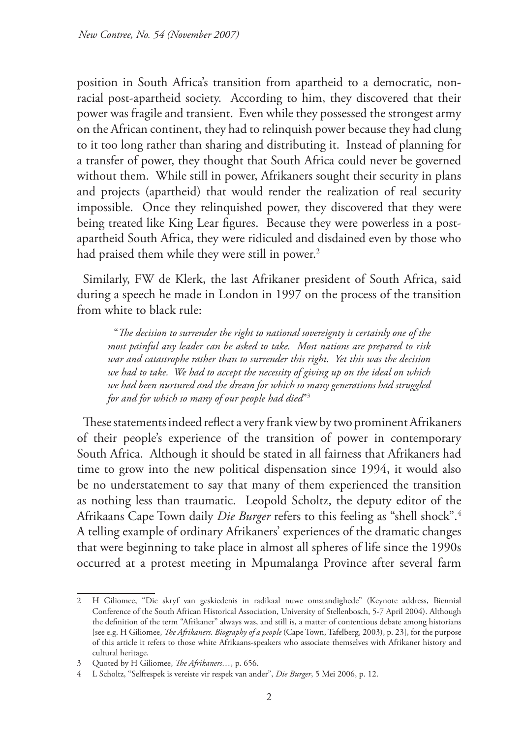position in South Africa's transition from apartheid to a democratic, nonracial post-apartheid society. According to him, they discovered that their power was fragile and transient. Even while they possessed the strongest army on the African continent, they had to relinquish power because they had clung to it too long rather than sharing and distributing it. Instead of planning for a transfer of power, they thought that South Africa could never be governed without them. While still in power, Afrikaners sought their security in plans and projects (apartheid) that would render the realization of real security impossible. Once they relinquished power, they discovered that they were being treated like King Lear figures. Because they were powerless in a postapartheid South Africa, they were ridiculed and disdained even by those who had praised them while they were still in power.<sup>2</sup>

Similarly, FW de Klerk, the last Afrikaner president of South Africa, said during a speech he made in London in 1997 on the process of the transition from white to black rule:

"*The decision to surrender the right to national sovereignty is certainly one of the most painful any leader can be asked to take. Most nations are prepared to risk war and catastrophe rather than to surrender this right. Yet this was the decision we had to take. We had to accept the necessity of giving up on the ideal on which we had been nurtured and the dream for which so many generations had struggled for and for which so many of our people had died*"3

These statements indeed reflect a very frank view by two prominent Afrikaners of their people's experience of the transition of power in contemporary South Africa. Although it should be stated in all fairness that Afrikaners had time to grow into the new political dispensation since 1994, it would also be no understatement to say that many of them experienced the transition as nothing less than traumatic. Leopold Scholtz, the deputy editor of the Afrikaans Cape Town daily *Die Burger* refers to this feeling as "shell shock".4 A telling example of ordinary Afrikaners' experiences of the dramatic changes that were beginning to take place in almost all spheres of life since the 1990s occurred at a protest meeting in Mpumalanga Province after several farm

<sup>2</sup> H Giliomee, "Die skryf van geskiedenis in radikaal nuwe omstandighede" (Keynote address, Biennial Conference of the South African Historical Association, University of Stellenbosch, 5-7 April 2004). Although the definition of the term "Afrikaner" always was, and still is, a matter of contentious debate among historians [see e.g. H Giliomee, *The Afrikaners. Biography of a people* (Cape Town, Tafelberg, 2003), p. 23], for the purpose of this article it refers to those white Afrikaans-speakers who associate themselves with Afrikaner history and cultural heritage.

<sup>3</sup> Quoted by H Giliomee, *The Afrikaners…*, p. 656.

<sup>4</sup> L Scholtz, "Selfrespek is vereiste vir respek van ander", *Die Burger*, 5 Mei 2006, p. 12.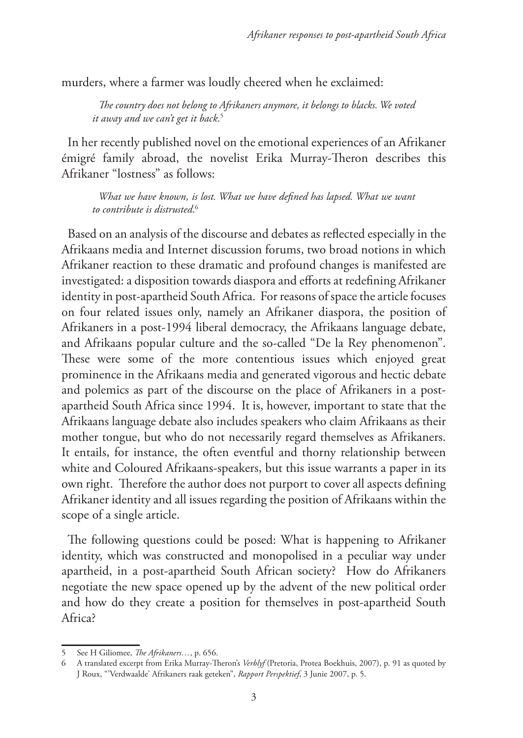murders, where a farmer was loudly cheered when he exclaimed:

*The country does not belong to Afrikaners anymore, it belongs to blacks. We voted it away and we can't get it back*. 5

In her recently published novel on the emotional experiences of an Afrikaner émigré family abroad, the novelist Erika Murray-Theron describes this Afrikaner "lostness" as follows:

*What we have known, is lost. What we have defined has lapsed. What we want to contribute is distrusted*. 6

Based on an analysis of the discourse and debates as reflected especially in the Afrikaans media and Internet discussion forums, two broad notions in which Afrikaner reaction to these dramatic and profound changes is manifested are investigated: a disposition towards diaspora and efforts at redefining Afrikaner identity in post-apartheid South Africa. For reasons of space the article focuses on four related issues only, namely an Afrikaner diaspora, the position of Afrikaners in a post-1994 liberal democracy, the Afrikaans language debate, and Afrikaans popular culture and the so-called "De la Rey phenomenon". These were some of the more contentious issues which enjoyed great prominence in the Afrikaans media and generated vigorous and hectic debate and polemics as part of the discourse on the place of Afrikaners in a postapartheid South Africa since 1994. It is, however, important to state that the Afrikaans language debate also includes speakers who claim Afrikaans as their mother tongue, but who do not necessarily regard themselves as Afrikaners. It entails, for instance, the often eventful and thorny relationship between white and Coloured Afrikaans-speakers, but this issue warrants a paper in its own right. Therefore the author does not purport to cover all aspects defining Afrikaner identity and all issues regarding the position of Afrikaans within the scope of a single article.

The following questions could be posed: What is happening to Afrikaner identity, which was constructed and monopolised in a peculiar way under apartheid, in a post-apartheid South African society? How do Afrikaners negotiate the new space opened up by the advent of the new political order and how do they create a position for themselves in post-apartheid South Africa?

<sup>5</sup> See H Giliomee, *The Afrikaners…*, p. 656.

<sup>6</sup> A translated excerpt from Erika Murray-Theron's *Verblyf* (Pretoria, Protea Boekhuis, 2007), p. 91 as quoted by J Roux, "'Verdwaalde' Afrikaners raak geteken", *Rapport Perspektief*, 3 Junie 2007, p. 5.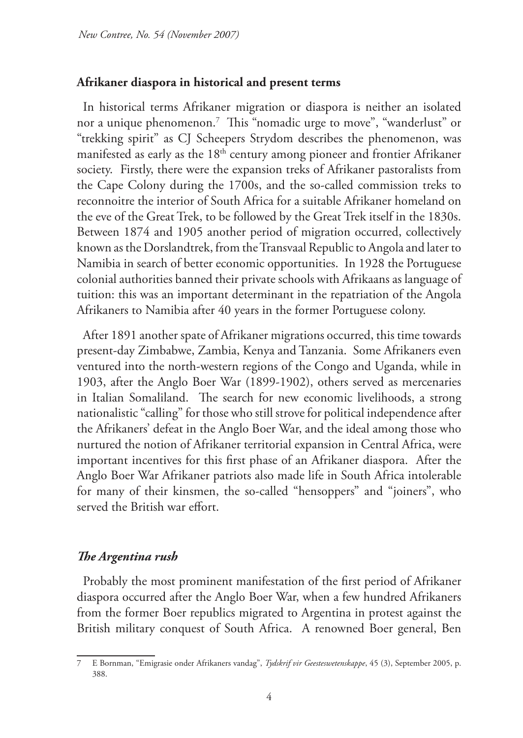#### **Afrikaner diaspora in historical and present terms**

In historical terms Afrikaner migration or diaspora is neither an isolated nor a unique phenomenon.7 This "nomadic urge to move", "wanderlust" or "trekking spirit" as CJ Scheepers Strydom describes the phenomenon, was manifested as early as the 18<sup>th</sup> century among pioneer and frontier Afrikaner society. Firstly, there were the expansion treks of Afrikaner pastoralists from the Cape Colony during the 1700s, and the so-called commission treks to reconnoitre the interior of South Africa for a suitable Afrikaner homeland on the eve of the Great Trek, to be followed by the Great Trek itself in the 1830s. Between 1874 and 1905 another period of migration occurred, collectively known as the Dorslandtrek, from the Transvaal Republic to Angola and later to Namibia in search of better economic opportunities. In 1928 the Portuguese colonial authorities banned their private schools with Afrikaans as language of tuition: this was an important determinant in the repatriation of the Angola Afrikaners to Namibia after 40 years in the former Portuguese colony.

After 1891 another spate of Afrikaner migrations occurred, this time towards present-day Zimbabwe, Zambia, Kenya and Tanzania. Some Afrikaners even ventured into the north-western regions of the Congo and Uganda, while in 1903, after the Anglo Boer War (1899-1902), others served as mercenaries in Italian Somaliland. The search for new economic livelihoods, a strong nationalistic "calling" for those who still strove for political independence after the Afrikaners' defeat in the Anglo Boer War, and the ideal among those who nurtured the notion of Afrikaner territorial expansion in Central Africa, were important incentives for this first phase of an Afrikaner diaspora. After the Anglo Boer War Afrikaner patriots also made life in South Africa intolerable for many of their kinsmen, the so-called "hensoppers" and "joiners", who served the British war effort.

#### *The Argentina rush*

Probably the most prominent manifestation of the first period of Afrikaner diaspora occurred after the Anglo Boer War, when a few hundred Afrikaners from the former Boer republics migrated to Argentina in protest against the British military conquest of South Africa. A renowned Boer general, Ben

<sup>7</sup> E Bornman, "Emigrasie onder Afrikaners vandag", *Tydskrif vir Geesteswetenskappe*, 45 (3), September 2005, p. 388.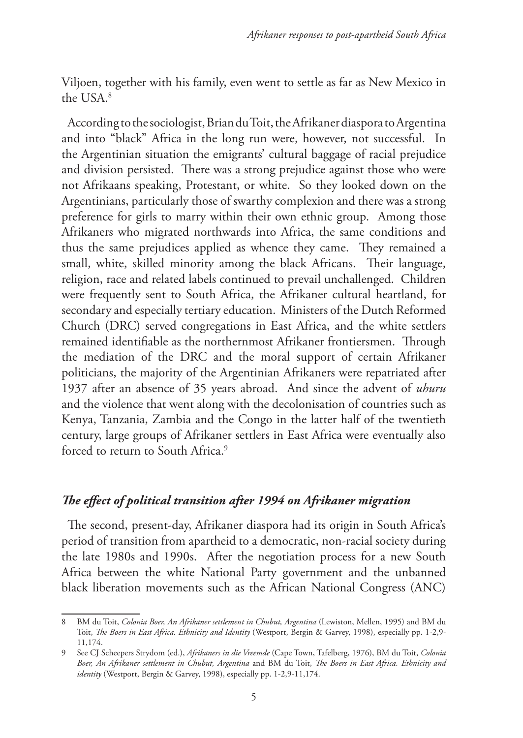Viljoen, together with his family, even went to settle as far as New Mexico in the USA<sup>8</sup>

According to the sociologist, Brian du Toit, the Afrikaner diaspora to Argentina and into "black" Africa in the long run were, however, not successful. In the Argentinian situation the emigrants' cultural baggage of racial prejudice and division persisted. There was a strong prejudice against those who were not Afrikaans speaking, Protestant, or white. So they looked down on the Argentinians, particularly those of swarthy complexion and there was a strong preference for girls to marry within their own ethnic group. Among those Afrikaners who migrated northwards into Africa, the same conditions and thus the same prejudices applied as whence they came. They remained a small, white, skilled minority among the black Africans. Their language, religion, race and related labels continued to prevail unchallenged. Children were frequently sent to South Africa, the Afrikaner cultural heartland, for secondary and especially tertiary education. Ministers of the Dutch Reformed Church (DRC) served congregations in East Africa, and the white settlers remained identifiable as the northernmost Afrikaner frontiersmen. Through the mediation of the DRC and the moral support of certain Afrikaner politicians, the majority of the Argentinian Afrikaners were repatriated after 1937 after an absence of 35 years abroad. And since the advent of *uhuru* and the violence that went along with the decolonisation of countries such as Kenya, Tanzania, Zambia and the Congo in the latter half of the twentieth century, large groups of Afrikaner settlers in East Africa were eventually also forced to return to South Africa.<sup>9</sup>

# *The effect of political transition after 1994 on Afrikaner migration*

The second, present-day, Afrikaner diaspora had its origin in South Africa's period of transition from apartheid to a democratic, non-racial society during the late 1980s and 1990s. After the negotiation process for a new South Africa between the white National Party government and the unbanned black liberation movements such as the African National Congress (ANC)

<sup>8</sup> BM du Toit, *Colonia Boer, An Afrikaner settlement in Chubut, Argentina* (Lewiston, Mellen, 1995) and BM du Toit, *The Boers in East Africa. Ethnicity and Identity* (Westport, Bergin & Garvey, 1998), especially pp. 1-2,9- 11,174.

<sup>9</sup> See CJ Scheepers Strydom (ed.), *Afrikaners in die Vreemde* (Cape Town, Tafelberg, 1976), BM du Toit, *Colonia Boer, An Afrikaner settlement in Chubut, Argentina* and BM du Toit, *The Boers in East Africa. Ethnicity and identity* (Westport, Bergin & Garvey, 1998), especially pp. 1-2,9-11,174.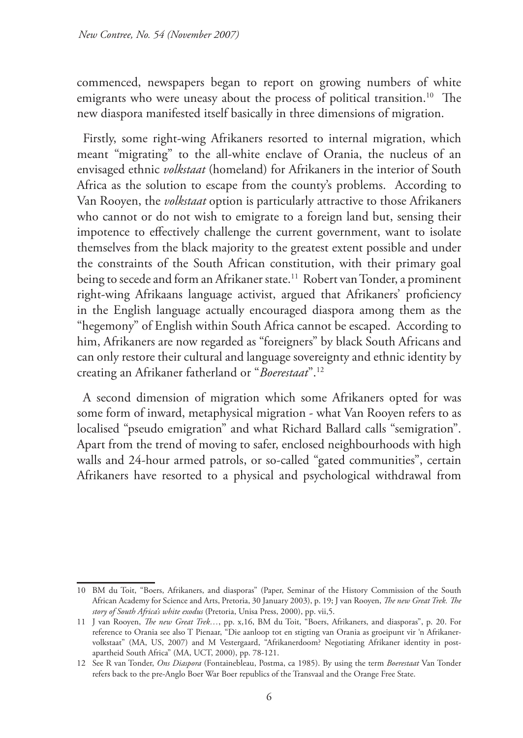commenced, newspapers began to report on growing numbers of white emigrants who were uneasy about the process of political transition.<sup>10</sup> The new diaspora manifested itself basically in three dimensions of migration.

Firstly, some right-wing Afrikaners resorted to internal migration, which meant "migrating" to the all-white enclave of Orania, the nucleus of an envisaged ethnic *volkstaat* (homeland) for Afrikaners in the interior of South Africa as the solution to escape from the county's problems. According to Van Rooyen, the *volkstaat* option is particularly attractive to those Afrikaners who cannot or do not wish to emigrate to a foreign land but, sensing their impotence to effectively challenge the current government, want to isolate themselves from the black majority to the greatest extent possible and under the constraints of the South African constitution, with their primary goal being to secede and form an Afrikaner state.<sup>11</sup> Robert van Tonder, a prominent right-wing Afrikaans language activist, argued that Afrikaners' proficiency in the English language actually encouraged diaspora among them as the "hegemony" of English within South Africa cannot be escaped. According to him, Afrikaners are now regarded as "foreigners" by black South Africans and can only restore their cultural and language sovereignty and ethnic identity by creating an Afrikaner fatherland or "*Boerestaat*".12

A second dimension of migration which some Afrikaners opted for was some form of inward, metaphysical migration - what Van Rooyen refers to as localised "pseudo emigration" and what Richard Ballard calls "semigration". Apart from the trend of moving to safer, enclosed neighbourhoods with high walls and 24-hour armed patrols, or so-called "gated communities", certain Afrikaners have resorted to a physical and psychological withdrawal from

<sup>10</sup> BM du Toit, "Boers, Afrikaners, and diasporas" (Paper, Seminar of the History Commission of the South African Academy for Science and Arts, Pretoria, 30 January 2003), p. 19; J van Rooyen, *The new Great Trek. The story of South Africa's white exodus* (Pretoria, Unisa Press, 2000), pp. vii,5.

<sup>11</sup> J van Rooyen, *The new Great Trek…*, pp. x,16, BM du Toit, "Boers, Afrikaners, and diasporas", p. 20. For reference to Orania see also T Pienaar, "Die aanloop tot en stigting van Orania as groeipunt vir 'n Afrikanervolkstaat" (MA, US, 2007) and M Vestergaard, "Afrikanerdoom? Negotiating Afrikaner identity in postapartheid South Africa" (MA, UCT, 2000), pp. 78-121.

<sup>12</sup> See R van Tonder, *Ons Diaspora* (Fontainebleau, Postma, ca 1985). By using the term *Boerestaat* Van Tonder refers back to the pre-Anglo Boer War Boer republics of the Transvaal and the Orange Free State.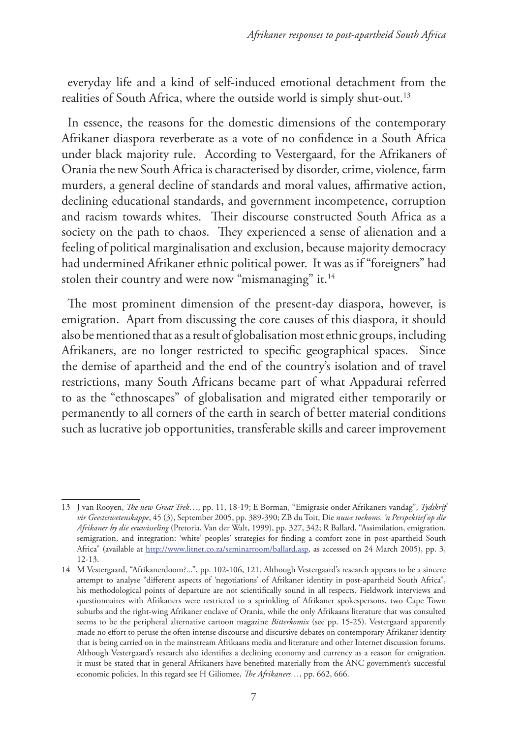everyday life and a kind of self-induced emotional detachment from the realities of South Africa, where the outside world is simply shut-out.<sup>13</sup>

In essence, the reasons for the domestic dimensions of the contemporary Afrikaner diaspora reverberate as a vote of no confidence in a South Africa under black majority rule. According to Vestergaard, for the Afrikaners of Orania the new South Africa is characterised by disorder, crime, violence, farm murders, a general decline of standards and moral values, affirmative action, declining educational standards, and government incompetence, corruption and racism towards whites. Their discourse constructed South Africa as a society on the path to chaos. They experienced a sense of alienation and a feeling of political marginalisation and exclusion, because majority democracy had undermined Afrikaner ethnic political power. It was as if "foreigners" had stolen their country and were now "mismanaging" it.<sup>14</sup>

The most prominent dimension of the present-day diaspora, however, is emigration. Apart from discussing the core causes of this diaspora, it should also be mentioned that as a result of globalisation most ethnic groups, including Afrikaners, are no longer restricted to specific geographical spaces. Since the demise of apartheid and the end of the country's isolation and of travel restrictions, many South Africans became part of what Appadurai referred to as the "ethnoscapes" of globalisation and migrated either temporarily or permanently to all corners of the earth in search of better material conditions such as lucrative job opportunities, transferable skills and career improvement

<sup>13</sup> J van Rooyen, *The new Great Trek…*, pp. 11, 18-19; E Borman, "Emigrasie onder Afrikaners vandag", *Tydskrif vir Geesteswetenskappe*, 45 (3), September 2005, pp. 389-390; ZB du Toit, Die *nuwe toekoms. 'n Perspektief op die Afrikaner by die eeuwisseling* (Pretoria, Van der Walt, 1999), pp. 327, 342; R Ballard, "Assimilation, emigration, semigration, and integration: 'white' peoples' strategies for finding a comfort zone in post-apartheid South Africa" (available at http://www.litnet.co.za/seminarroom/ballard.asp, as accessed on 24 March 2005), pp. 3, 12-13.

<sup>14</sup> M Vestergaard, "Afrikanerdoom?...", pp. 102-106, 121. Although Vestergaard's research appears to be a sincere attempt to analyse "different aspects of 'negotiations' of Afrikaner identity in post-apartheid South Africa", his methodological points of departure are not scientifically sound in all respects. Fieldwork interviews and questionnaires with Afrikaners were restricted to a sprinkling of Afrikaner spokespersons, two Cape Town suburbs and the right-wing Afrikaner enclave of Orania, while the only Afrikaans literature that was consulted seems to be the peripheral alternative cartoon magazine *Bitterkomix* (see pp. 15-25). Vestergaard apparently made no effort to peruse the often intense discourse and discursive debates on contemporary Afrikaner identity that is being carried on in the mainstream Afrikaans media and literature and other Internet discussion forums. Although Vestergaard's research also identifies a declining economy and currency as a reason for emigration, it must be stated that in general Afrikaners have benefited materially from the ANC government's successful economic policies. In this regard see H Giliomee, *The Afrikaners…*, pp. 662, 666.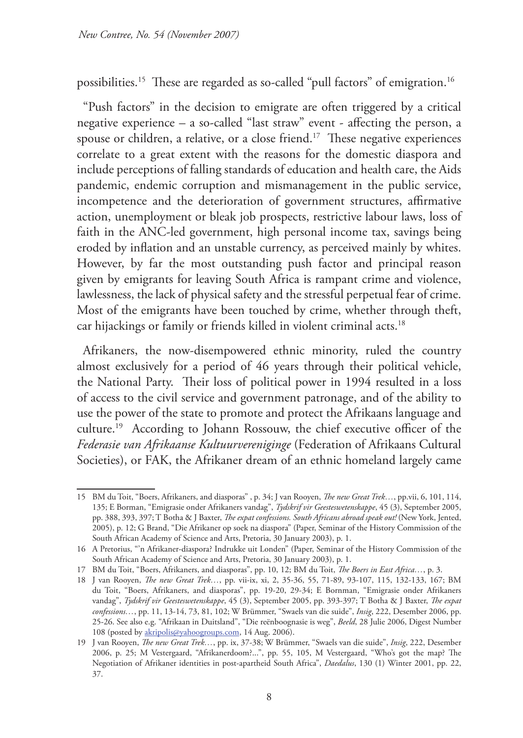possibilities.15 These are regarded as so-called "pull factors" of emigration.16

"Push factors" in the decision to emigrate are often triggered by a critical negative experience – a so-called "last straw" event - affecting the person, a spouse or children, a relative, or a close friend.<sup>17</sup> These negative experiences correlate to a great extent with the reasons for the domestic diaspora and include perceptions of falling standards of education and health care, the Aids pandemic, endemic corruption and mismanagement in the public service, incompetence and the deterioration of government structures, affirmative action, unemployment or bleak job prospects, restrictive labour laws, loss of faith in the ANC-led government, high personal income tax, savings being eroded by inflation and an unstable currency, as perceived mainly by whites. However, by far the most outstanding push factor and principal reason given by emigrants for leaving South Africa is rampant crime and violence, lawlessness, the lack of physical safety and the stressful perpetual fear of crime. Most of the emigrants have been touched by crime, whether through theft, car hijackings or family or friends killed in violent criminal acts.<sup>18</sup>

Afrikaners, the now-disempowered ethnic minority, ruled the country almost exclusively for a period of 46 years through their political vehicle, the National Party. Their loss of political power in 1994 resulted in a loss of access to the civil service and government patronage, and of the ability to use the power of the state to promote and protect the Afrikaans language and culture.19 According to Johann Rossouw, the chief executive officer of the *Federasie van Afrikaanse Kultuurvereniginge* (Federation of Afrikaans Cultural Societies), or FAK, the Afrikaner dream of an ethnic homeland largely came

<sup>15</sup> BM du Toit, "Boers, Afrikaners, and diasporas" , p. 34; J van Rooyen, *The new Great Trek…*, pp.vii, 6, 101, 114, 135; E Borman, "Emigrasie onder Afrikaners vandag", *Tydskrif vir Geesteswetenskappe*, 45 (3), September 2005, pp. 388, 393, 397; T Botha & J Baxter, *The expat confessions. South Africans abroad speak out!* (New York, Jented, 2005), p. 12; G Brand, "Die Afrikaner op soek na diaspora" (Paper, Seminar of the History Commission of the South African Academy of Science and Arts, Pretoria, 30 January 2003), p. 1.

<sup>16</sup> A Pretorius, "'n Afrikaner-diaspora? Indrukke uit Londen" (Paper, Seminar of the History Commission of the South African Academy of Science and Arts, Pretoria, 30 January 2003), p. 1.

<sup>17</sup> BM du Toit, "Boers, Afrikaners, and diasporas", pp. 10, 12; BM du Toit, *The Boers in East Africa…*, p. 3.

<sup>18</sup> J van Rooyen, *The new Great Trek…*, pp. vii-ix, xi, 2, 35-36, 55, 71-89, 93-107, 115, 132-133, 167; BM du Toit, "Boers, Afrikaners, and diasporas", pp. 19-20, 29-34; E Bornman, "Emigrasie onder Afrikaners vandag", *Tydskrif vir Geesteswetenskappe*, 45 (3), September 2005, pp. 393-397; T Botha & J Baxter, *The expat confessions…*, pp. 11, 13-14, 73, 81, 102; W Brümmer, "Swaels van die suide", *Insig*, 222, Desember 2006, pp. 25-26. See also e.g. "Afrikaan in Duitsland", "Die reënboognasie is weg", *Beeld*, 28 Julie 2006, Digest Number 108 (posted by akripolis@yahoogroups.com, 14 Aug. 2006).

<sup>19</sup> J van Rooyen, *The new Great Trek…*, pp. ix, 37-38; W Brümmer, "Swaels van die suide", *Insig*, 222, Desember 2006, p. 25; M Vestergaard, "Afrikanerdoom?...", pp. 55, 105, M Vestergaard, "Who's got the map? The Negotiation of Afrikaner identities in post-apartheid South Africa", *Daedalus*, 130 (1) Winter 2001, pp. 22, 37.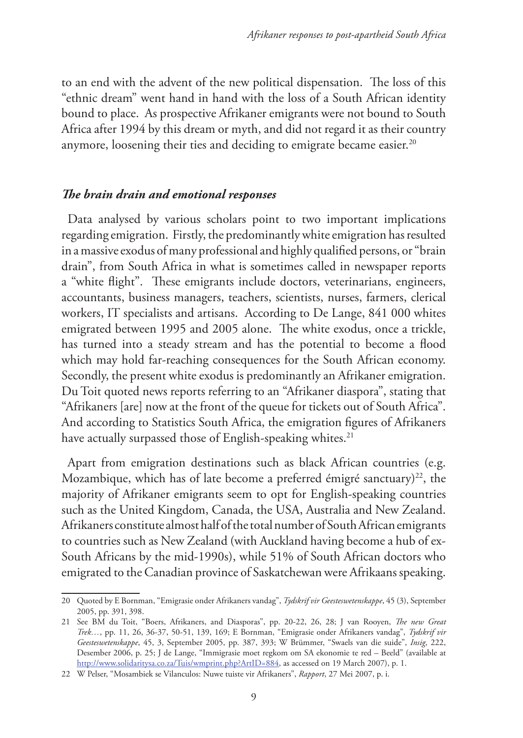to an end with the advent of the new political dispensation. The loss of this "ethnic dream" went hand in hand with the loss of a South African identity bound to place. As prospective Afrikaner emigrants were not bound to South Africa after 1994 by this dream or myth, and did not regard it as their country anymore, loosening their ties and deciding to emigrate became easier.<sup>20</sup>

#### *The brain drain and emotional responses*

Data analysed by various scholars point to two important implications regarding emigration. Firstly, the predominantly white emigration has resulted in a massive exodus of many professional and highly qualified persons, or "brain drain", from South Africa in what is sometimes called in newspaper reports a "white flight". These emigrants include doctors, veterinarians, engineers, accountants, business managers, teachers, scientists, nurses, farmers, clerical workers, IT specialists and artisans. According to De Lange, 841 000 whites emigrated between 1995 and 2005 alone. The white exodus, once a trickle, has turned into a steady stream and has the potential to become a flood which may hold far-reaching consequences for the South African economy. Secondly, the present white exodus is predominantly an Afrikaner emigration. Du Toit quoted news reports referring to an "Afrikaner diaspora", stating that "Afrikaners [are] now at the front of the queue for tickets out of South Africa". And according to Statistics South Africa, the emigration figures of Afrikaners have actually surpassed those of English-speaking whites.<sup>21</sup>

Apart from emigration destinations such as black African countries (e.g. Mozambique, which has of late become a preferred émigré sanctuary)<sup>22</sup>, the majority of Afrikaner emigrants seem to opt for English-speaking countries such as the United Kingdom, Canada, the USA, Australia and New Zealand. Afrikaners constitute almost half of the total number of South African emigrants to countries such as New Zealand (with Auckland having become a hub of ex-South Africans by the mid-1990s), while 51% of South African doctors who emigrated to the Canadian province of Saskatchewan were Afrikaans speaking.

<sup>20</sup> Quoted by E Bornman, "Emigrasie onder Afrikaners vandag", *Tydskrif vir Geesteswetenskappe*, 45 (3), September 2005, pp. 391, 398.

<sup>21</sup> See BM du Toit, "Boers, Afrikaners, and Diasporas", pp. 20-22, 26, 28; J van Rooyen, *The new Great Trek…*, pp. 11, 26, 36-37, 50-51, 139, 169; E Bornman, "Emigrasie onder Afrikaners vandag", *Tydskrif vir Geesteswetenskappe*, 45, 3, September 2005, pp. 387, 393; W Brümmer, "Swaels van die suide", *Insig*, 222, Desember 2006, p. 25; J de Lange, "Immigrasie moet regkom om SA ekonomie te red – Beeld" (available at http://www.solidaritysa.co.za/Tuis/wmprint.php?ArtID=884, as accessed on 19 March 2007), p. 1.

<sup>22</sup> W Pelser, "Mosambiek se Vilanculos: Nuwe tuiste vir Afrikaners", *Rapport*, 27 Mei 2007, p. i.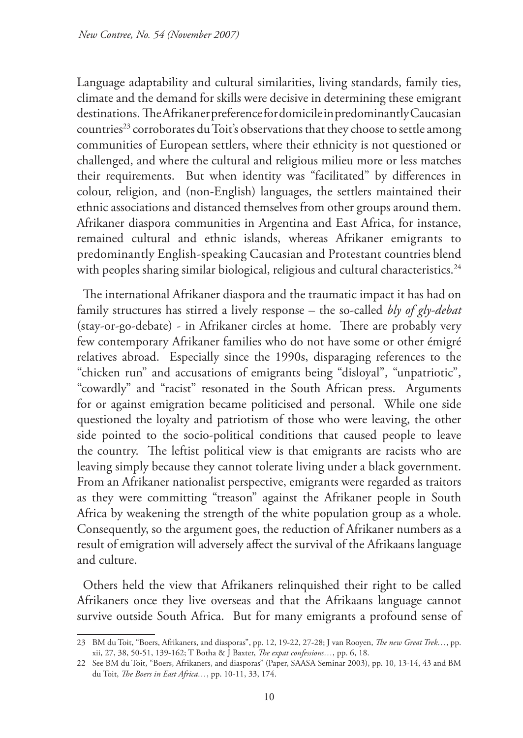Language adaptability and cultural similarities, living standards, family ties, climate and the demand for skills were decisive in determining these emigrant destinations. The Afrikaner preference for domicile in predominantly Caucasian countries<sup>23</sup> corroborates du Toit's observations that they choose to settle among communities of European settlers, where their ethnicity is not questioned or challenged, and where the cultural and religious milieu more or less matches their requirements. But when identity was "facilitated" by differences in colour, religion, and (non-English) languages, the settlers maintained their ethnic associations and distanced themselves from other groups around them. Afrikaner diaspora communities in Argentina and East Africa, for instance, remained cultural and ethnic islands, whereas Afrikaner emigrants to predominantly English-speaking Caucasian and Protestant countries blend with peoples sharing similar biological, religious and cultural characteristics.<sup>24</sup>

The international Afrikaner diaspora and the traumatic impact it has had on family structures has stirred a lively response – the so-called *bly of gly-debat*  (stay-or-go-debate) - in Afrikaner circles at home. There are probably very few contemporary Afrikaner families who do not have some or other émigré relatives abroad. Especially since the 1990s, disparaging references to the "chicken run" and accusations of emigrants being "disloyal", "unpatriotic", "cowardly" and "racist" resonated in the South African press. Arguments for or against emigration became politicised and personal. While one side questioned the loyalty and patriotism of those who were leaving, the other side pointed to the socio-political conditions that caused people to leave the country. The leftist political view is that emigrants are racists who are leaving simply because they cannot tolerate living under a black government. From an Afrikaner nationalist perspective, emigrants were regarded as traitors as they were committing "treason" against the Afrikaner people in South Africa by weakening the strength of the white population group as a whole. Consequently, so the argument goes, the reduction of Afrikaner numbers as a result of emigration will adversely affect the survival of the Afrikaans language and culture.

Others held the view that Afrikaners relinquished their right to be called Afrikaners once they live overseas and that the Afrikaans language cannot survive outside South Africa. But for many emigrants a profound sense of

<sup>23</sup> BM du Toit, "Boers, Afrikaners, and diasporas", pp. 12, 19-22, 27-28; J van Rooyen, *The new Great Trek…*, pp. xii, 27, 38, 50-51, 139-162; T Botha & J Baxter, *The expat confessions…*, pp. 6, 18.

<sup>22</sup> See BM du Toit, "Boers, Afrikaners, and diasporas" (Paper, SAASA Seminar 2003), pp. 10, 13-14, 43 and BM du Toit, *The Boers in East Africa…*, pp. 10-11, 33, 174.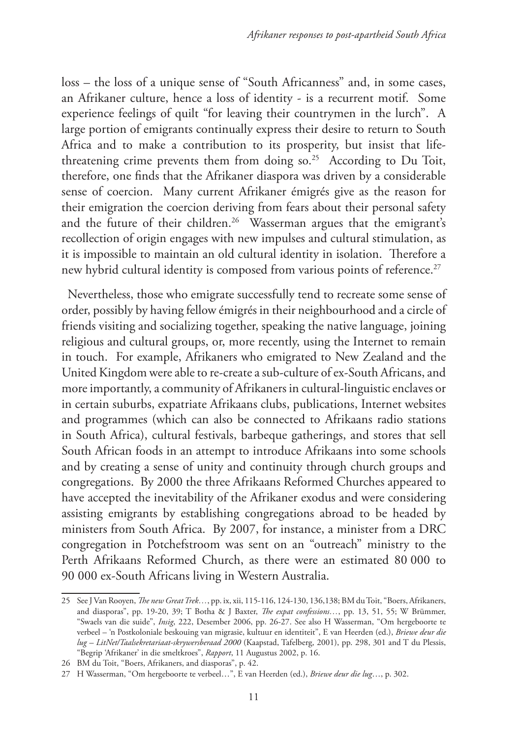loss – the loss of a unique sense of "South Africanness" and, in some cases, an Afrikaner culture, hence a loss of identity - is a recurrent motif. Some experience feelings of quilt "for leaving their countrymen in the lurch". A large portion of emigrants continually express their desire to return to South Africa and to make a contribution to its prosperity, but insist that lifethreatening crime prevents them from doing so.<sup>25</sup> According to Du Toit, therefore, one finds that the Afrikaner diaspora was driven by a considerable sense of coercion. Many current Afrikaner émigrés give as the reason for their emigration the coercion deriving from fears about their personal safety and the future of their children.<sup>26</sup> Wasserman argues that the emigrant's recollection of origin engages with new impulses and cultural stimulation, as it is impossible to maintain an old cultural identity in isolation. Therefore a new hybrid cultural identity is composed from various points of reference.<sup>27</sup>

Nevertheless, those who emigrate successfully tend to recreate some sense of order, possibly by having fellow émigrés in their neighbourhood and a circle of friends visiting and socializing together, speaking the native language, joining religious and cultural groups, or, more recently, using the Internet to remain in touch. For example, Afrikaners who emigrated to New Zealand and the United Kingdom were able to re-create a sub-culture of ex-South Africans, and more importantly, a community of Afrikaners in cultural-linguistic enclaves or in certain suburbs, expatriate Afrikaans clubs, publications, Internet websites and programmes (which can also be connected to Afrikaans radio stations in South Africa), cultural festivals, barbeque gatherings, and stores that sell South African foods in an attempt to introduce Afrikaans into some schools and by creating a sense of unity and continuity through church groups and congregations. By 2000 the three Afrikaans Reformed Churches appeared to have accepted the inevitability of the Afrikaner exodus and were considering assisting emigrants by establishing congregations abroad to be headed by ministers from South Africa. By 2007, for instance, a minister from a DRC congregation in Potchefstroom was sent on an "outreach" ministry to the Perth Afrikaans Reformed Church, as there were an estimated 80 000 to 90 000 ex-South Africans living in Western Australia.

<sup>25</sup> See J Van Rooyen, *The new Great Trek…*, pp. ix, xii, 115-116, 124-130, 136,138; BM du Toit, "Boers, Afrikaners, and diasporas", pp. 19-20, 39; T Botha & J Baxter, *The expat confessions…*, pp. 13, 51, 55; W Brümmer, "Swaels van die suide", *Insig*, 222, Desember 2006, pp. 26-27. See also H Wasserman, "Om hergeboorte te verbeel – 'n Postkoloniale beskouing van migrasie, kultuur en identiteit", E van Heerden (ed.), *Briewe deur die lug – LitNet/Taalsekretariaat-skrywersberaad 2000* (Kaapstad, Tafelberg, 2001), pp. 298, 301 and T du Plessis, "Begrip 'Afrikaner' in die smeltkroes", *Rapport*, 11 Augustus 2002, p. 16.

<sup>26</sup> BM du Toit, "Boers, Afrikaners, and diasporas", p. 42.

<sup>27</sup> H Wasserman, "Om hergeboorte te verbeel…", E van Heerden (ed.), *Briewe deur die lug*…, p. 302.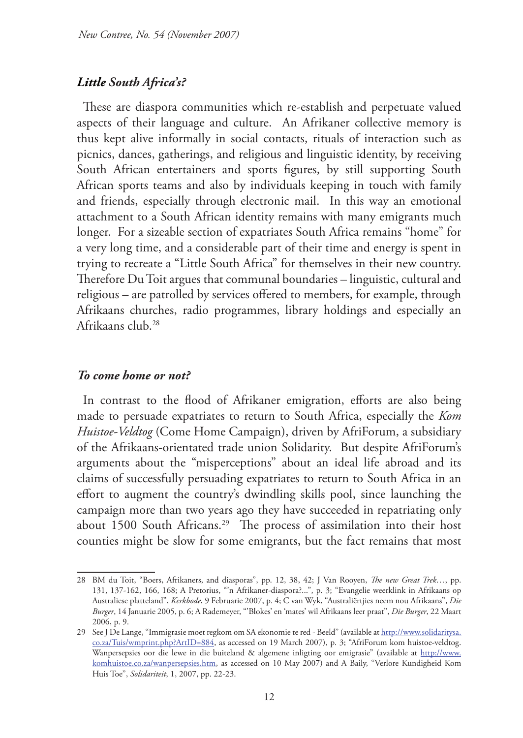# *Little South Africa's?*

These are diaspora communities which re-establish and perpetuate valued aspects of their language and culture. An Afrikaner collective memory is thus kept alive informally in social contacts, rituals of interaction such as picnics, dances, gatherings, and religious and linguistic identity, by receiving South African entertainers and sports figures, by still supporting South African sports teams and also by individuals keeping in touch with family and friends, especially through electronic mail. In this way an emotional attachment to a South African identity remains with many emigrants much longer. For a sizeable section of expatriates South Africa remains "home" for a very long time, and a considerable part of their time and energy is spent in trying to recreate a "Little South Africa" for themselves in their new country. Therefore Du Toit argues that communal boundaries – linguistic, cultural and religious – are patrolled by services offered to members, for example, through Afrikaans churches, radio programmes, library holdings and especially an Afrikaans club.28

#### *To come home or not?*

In contrast to the flood of Afrikaner emigration, efforts are also being made to persuade expatriates to return to South Africa, especially the *Kom Huistoe-Veldtog* (Come Home Campaign), driven by AfriForum, a subsidiary of the Afrikaans-orientated trade union Solidarity. But despite AfriForum's arguments about the "misperceptions" about an ideal life abroad and its claims of successfully persuading expatriates to return to South Africa in an effort to augment the country's dwindling skills pool, since launching the campaign more than two years ago they have succeeded in repatriating only about 1500 South Africans.<sup>29</sup> The process of assimilation into their host counties might be slow for some emigrants, but the fact remains that most

<sup>28</sup> BM du Toit, "Boers, Afrikaners, and diasporas", pp. 12, 38, 42; J Van Rooyen, *The new Great Trek…*, pp. 131, 137-162, 166, 168; A Pretorius, "'n Afrikaner-diaspora?...", p. 3; "Evangelie weerklink in Afrikaans op Australiese platteland", *Kerkbode*, 9 Februarie 2007, p. 4; C van Wyk, "Australiërtjies neem nou Afrikaans", *Die Burger*, 14 Januarie 2005, p. 6; A Rademeyer, "'Blokes' en 'mates' wil Afrikaans leer praat", *Die Burger*, 22 Maart 2006, p. 9.

<sup>29</sup> See J De Lange, "Immigrasie moet regkom om SA ekonomie te red - Beeld" (available at http://www.solidaritysa. co.za/Tuis/wmprint.php?ArtID=884, as accessed on 19 March 2007), p. 3; "AfriForum kom huistoe-veldtog. Wanpersepsies oor die lewe in die buiteland & algemene inligting oor emigrasie" (available at http://www. komhuistoe.co.za/wanpersepsies.htm, as accessed on 10 May 2007) and A Baily, "Verlore Kundigheid Kom Huis Toe", *Solidariteit*, 1, 2007, pp. 22-23.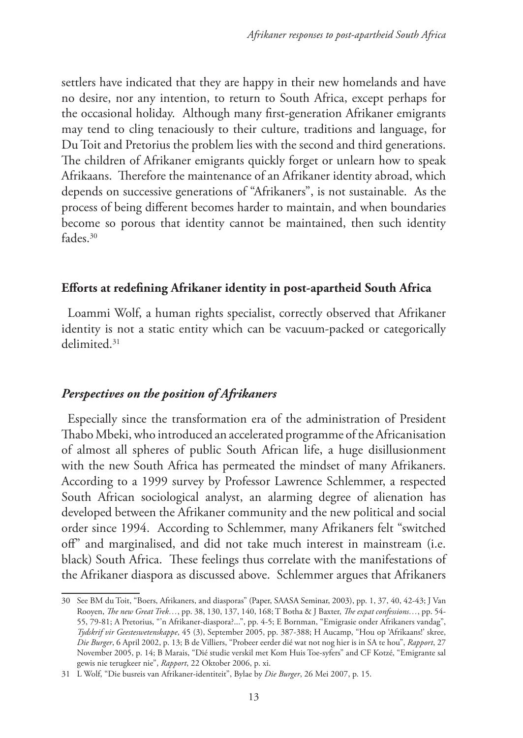settlers have indicated that they are happy in their new homelands and have no desire, nor any intention, to return to South Africa, except perhaps for the occasional holiday. Although many first-generation Afrikaner emigrants may tend to cling tenaciously to their culture, traditions and language, for Du Toit and Pretorius the problem lies with the second and third generations. The children of Afrikaner emigrants quickly forget or unlearn how to speak Afrikaans. Therefore the maintenance of an Afrikaner identity abroad, which depends on successive generations of "Afrikaners", is not sustainable. As the process of being different becomes harder to maintain, and when boundaries become so porous that identity cannot be maintained, then such identity fades.30

# **Efforts at redefining Afrikaner identity in post-apartheid South Africa**

Loammi Wolf, a human rights specialist, correctly observed that Afrikaner identity is not a static entity which can be vacuum-packed or categorically delimited.31

# *Perspectives on the position of Afrikaners*

Especially since the transformation era of the administration of President Thabo Mbeki, who introduced an accelerated programme of the Africanisation of almost all spheres of public South African life, a huge disillusionment with the new South Africa has permeated the mindset of many Afrikaners. According to a 1999 survey by Professor Lawrence Schlemmer, a respected South African sociological analyst, an alarming degree of alienation has developed between the Afrikaner community and the new political and social order since 1994. According to Schlemmer, many Afrikaners felt "switched off" and marginalised, and did not take much interest in mainstream (i.e. black) South Africa. These feelings thus correlate with the manifestations of the Afrikaner diaspora as discussed above. Schlemmer argues that Afrikaners

<sup>30</sup> See BM du Toit, "Boers, Afrikaners, and diasporas" (Paper, SAASA Seminar, 2003), pp. 1, 37, 40, 42-43; J Van Rooyen, *The new Great Trek…*, pp. 38, 130, 137, 140, 168; T Botha & J Baxter, *The expat confessions…*, pp. 54- 55, 79-81; A Pretorius, "'n Afrikaner-diaspora?...", pp. 4-5; E Bornman, "Emigrasie onder Afrikaners vandag", *Tydskrif vir Geesteswetenskappe*, 45 (3), September 2005, pp. 387-388; H Aucamp, "Hou op 'Afrikaans!' skree, *Die Burger*, 6 April 2002, p. 13; B de Villiers, "Probeer eerder dié wat not nog hier is in SA te hou", *Rapport*, 27 November 2005, p. 14; B Marais, "Dié studie verskil met Kom Huis Toe-syfers" and CF Kotzé, "Emigrante sal gewis nie terugkeer nie", *Rapport*, 22 Oktober 2006, p. xi.

<sup>31</sup> L Wolf, "Die busreis van Afrikaner-identiteit", Bylae by *Die Burger*, 26 Mei 2007, p. 15.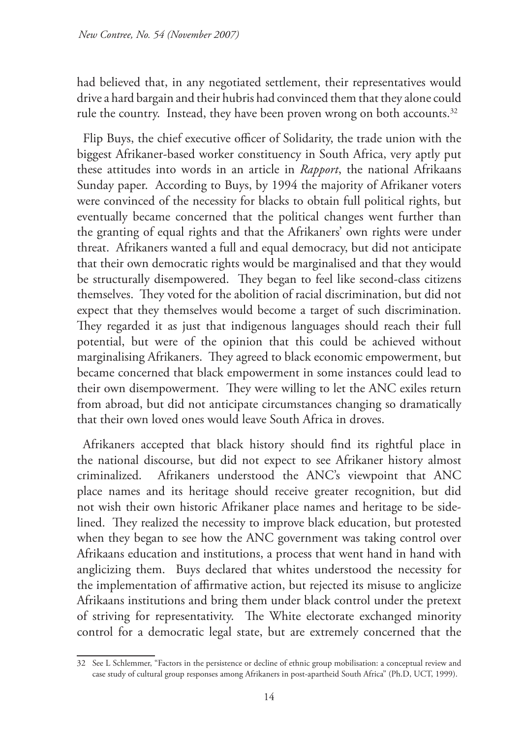had believed that, in any negotiated settlement, their representatives would drive a hard bargain and their hubris had convinced them that they alone could rule the country. Instead, they have been proven wrong on both accounts.<sup>32</sup>

Flip Buys, the chief executive officer of Solidarity, the trade union with the biggest Afrikaner-based worker constituency in South Africa, very aptly put these attitudes into words in an article in *Rapport*, the national Afrikaans Sunday paper. According to Buys, by 1994 the majority of Afrikaner voters were convinced of the necessity for blacks to obtain full political rights, but eventually became concerned that the political changes went further than the granting of equal rights and that the Afrikaners' own rights were under threat. Afrikaners wanted a full and equal democracy, but did not anticipate that their own democratic rights would be marginalised and that they would be structurally disempowered. They began to feel like second-class citizens themselves. They voted for the abolition of racial discrimination, but did not expect that they themselves would become a target of such discrimination. They regarded it as just that indigenous languages should reach their full potential, but were of the opinion that this could be achieved without marginalising Afrikaners. They agreed to black economic empowerment, but became concerned that black empowerment in some instances could lead to their own disempowerment. They were willing to let the ANC exiles return from abroad, but did not anticipate circumstances changing so dramatically that their own loved ones would leave South Africa in droves.

Afrikaners accepted that black history should find its rightful place in the national discourse, but did not expect to see Afrikaner history almost criminalized. Afrikaners understood the ANC's viewpoint that ANC place names and its heritage should receive greater recognition, but did not wish their own historic Afrikaner place names and heritage to be sidelined. They realized the necessity to improve black education, but protested when they began to see how the ANC government was taking control over Afrikaans education and institutions, a process that went hand in hand with anglicizing them. Buys declared that whites understood the necessity for the implementation of affirmative action, but rejected its misuse to anglicize Afrikaans institutions and bring them under black control under the pretext of striving for representativity. The White electorate exchanged minority control for a democratic legal state, but are extremely concerned that the

<sup>32</sup> See L Schlemmer, "Factors in the persistence or decline of ethnic group mobilisation: a conceptual review and case study of cultural group responses among Afrikaners in post-apartheid South Africa" (Ph.D, UCT, 1999).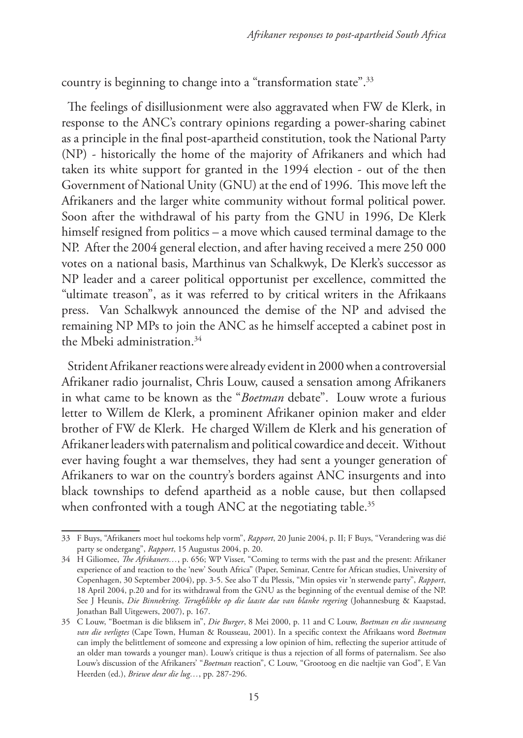country is beginning to change into a "transformation state".33

The feelings of disillusionment were also aggravated when FW de Klerk, in response to the ANC's contrary opinions regarding a power-sharing cabinet as a principle in the final post-apartheid constitution, took the National Party (NP) - historically the home of the majority of Afrikaners and which had taken its white support for granted in the 1994 election - out of the then Government of National Unity (GNU) at the end of 1996. This move left the Afrikaners and the larger white community without formal political power. Soon after the withdrawal of his party from the GNU in 1996, De Klerk himself resigned from politics – a move which caused terminal damage to the NP. After the 2004 general election, and after having received a mere 250 000 votes on a national basis, Marthinus van Schalkwyk, De Klerk's successor as NP leader and a career political opportunist per excellence, committed the "ultimate treason", as it was referred to by critical writers in the Afrikaans press. Van Schalkwyk announced the demise of the NP and advised the remaining NP MPs to join the ANC as he himself accepted a cabinet post in the Mbeki administration.34

Strident Afrikaner reactions were already evident in 2000 when a controversial Afrikaner radio journalist, Chris Louw, caused a sensation among Afrikaners in what came to be known as the "*Boetman* debate". Louw wrote a furious letter to Willem de Klerk, a prominent Afrikaner opinion maker and elder brother of FW de Klerk. He charged Willem de Klerk and his generation of Afrikaner leaders with paternalism and political cowardice and deceit. Without ever having fought a war themselves, they had sent a younger generation of Afrikaners to war on the country's borders against ANC insurgents and into black townships to defend apartheid as a noble cause, but then collapsed when confronted with a tough ANC at the negotiating table.<sup>35</sup>

<sup>33</sup> F Buys, "Afrikaners moet hul toekoms help vorm", *Rapport*, 20 Junie 2004, p. II; F Buys, "Verandering was dié party se ondergang", *Rapport*, 15 Augustus 2004, p. 20.

<sup>34</sup> H Giliomee, *The Afrikaners…*, p. 656; WP Visser, "Coming to terms with the past and the present: Afrikaner experience of and reaction to the 'new' South Africa" (Paper, Seminar, Centre for African studies, University of Copenhagen, 30 September 2004), pp. 3-5. See also T du Plessis, "Min opsies vir 'n sterwende party", *Rapport*, 18 April 2004, p.20 and for its withdrawal from the GNU as the beginning of the eventual demise of the NP. See J Heunis, *Die Binnekring. Terugblikke op die laaste dae van blanke regering* (Johannesburg & Kaapstad, Jonathan Ball Uitgewers, 2007), p. 167.

<sup>35</sup> C Louw, "Boetman is die bliksem in", *Die Burger*, 8 Mei 2000, p. 11 and C Louw, *Boetman en die swanesang van die verligtes* (Cape Town, Human & Rousseau, 2001). In a specific context the Afrikaans word *Boetman*  can imply the belittlement of someone and expressing a low opinion of him, reflecting the superior attitude of an older man towards a younger man). Louw's critique is thus a rejection of all forms of paternalism. See also Louw's discussion of the Afrikaners' "*Boetman* reaction", C Louw, "Grootoog en die naeltjie van God", E Van Heerden (ed.), *Briewe deur die lug…*, pp. 287-296.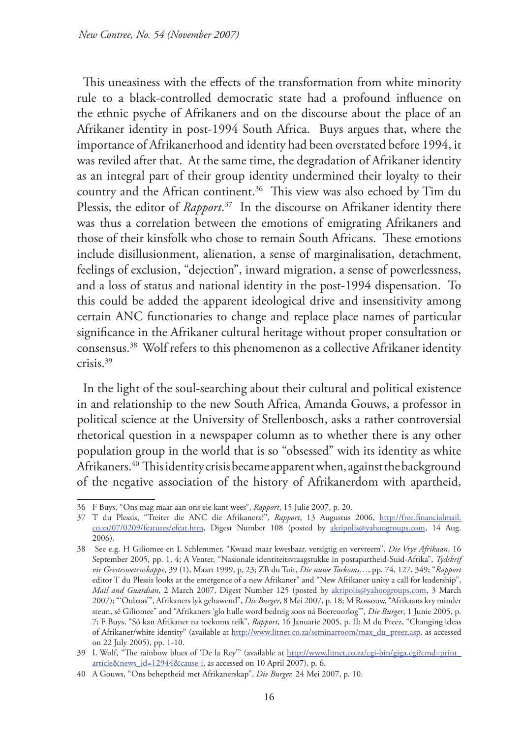This uneasiness with the effects of the transformation from white minority rule to a black-controlled democratic state had a profound influence on the ethnic psyche of Afrikaners and on the discourse about the place of an Afrikaner identity in post-1994 South Africa. Buys argues that, where the importance of Afrikanerhood and identity had been overstated before 1994, it was reviled after that. At the same time, the degradation of Afrikaner identity as an integral part of their group identity undermined their loyalty to their country and the African continent.<sup>36</sup> This view was also echoed by Tim du Plessis, the editor of *Rapport*. 37 In the discourse on Afrikaner identity there was thus a correlation between the emotions of emigrating Afrikaners and those of their kinsfolk who chose to remain South Africans. These emotions include disillusionment, alienation, a sense of marginalisation, detachment, feelings of exclusion, "dejection", inward migration, a sense of powerlessness, and a loss of status and national identity in the post-1994 dispensation. To this could be added the apparent ideological drive and insensitivity among certain ANC functionaries to change and replace place names of particular significance in the Afrikaner cultural heritage without proper consultation or consensus.38 Wolf refers to this phenomenon as a collective Afrikaner identity crisis.39

In the light of the soul-searching about their cultural and political existence in and relationship to the new South Africa, Amanda Gouws, a professor in political science at the University of Stellenbosch, asks a rather controversial rhetorical question in a newspaper column as to whether there is any other population group in the world that is so "obsessed" with its identity as white Afrikaners.<sup>40</sup> This identity crisis became apparent when, against the background of the negative association of the history of Afrikanerdom with apartheid,

<sup>36</sup> F Buys, "Ons mag maar aan ons eie kant wees", *Rapport*, 15 Julie 2007, p. 20.

<sup>37</sup> T du Plessis, "Treiter die ANC die Afrikaners?", *Rapport*, 13 Augustus 2006, http://free.financialmail. co.za/07/0209/features/efeat.htm, Digest Number 108 (posted by akripolis@yahoogroups.com, 14 Aug. 2006).

<sup>38</sup> See e.g. H Giliomee en L Schlemmer, "Kwaad maar kwesbaar, versigtig en vervreem", *Die Vrye Afrikaan*, 16 September 2005, pp. 1, 4; A Venter, "Nasionale identiteitsvraagstukke in postapartheid-Suid-Afrika", *Tydskrif vir Geesteswetenskappe*, 39 (1), Maart 1999, p. 23; ZB du Toit, *Die nuwe Toekoms…*, pp. 74, 127, 349; "*Rapport*  editor T du Plessis looks at the emergence of a new Afrikaner" and "New Afrikaner unity a call for leadership", *Mail and Guardian*, 2 March 2007, Digest Number 125 (posted by akripolis@yahoogroups.com, 3 March 2007); "'Oubaas'", Afrikaners lyk gehawend", *Die Burger*, 8 Mei 2007, p. 18; M Rossouw, "Afrikaans kry minder steun, sê Giliomee" and "Afrikaners 'glo hulle word bedreig soos ná Boereoorlog'", *Die Burger*, 1 Junie 2005, p. 7; F Buys, "Só kan Afrikaner na toekoms reik", *Rapport*, 16 Januarie 2005, p. II; M du Preez, "Changing ideas of Afrikaner/white identity" (available at http://www.litnet.co.za/seminarroom/max\_du\_preez.asp, as accessed on 22 July 2005), pp. 1-10.

<sup>39</sup> L Wolf, "The rainbow blues of 'De la Rey'" (available at http://www.litnet.co.za/cgi-bin/giga.cgi?cmd=print\_ article&news\_id=12944&cause-i, as accessed on 10 April 2007), p. 6.

<sup>40</sup> A Gouws, "Ons beheptheid met Afrikanerskap", *Die Burger,* 24 Mei 2007, p. 10.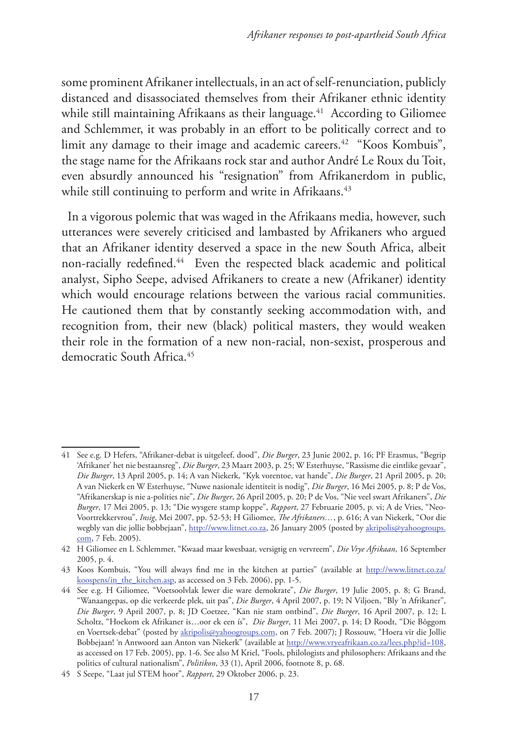some prominent Afrikaner intellectuals, in an act of self-renunciation, publicly distanced and disassociated themselves from their Afrikaner ethnic identity while still maintaining Afrikaans as their language.<sup>41</sup> According to Giliomee and Schlemmer, it was probably in an effort to be politically correct and to limit any damage to their image and academic careers.<sup>42</sup> "Koos Kombuis", the stage name for the Afrikaans rock star and author André Le Roux du Toit, even absurdly announced his "resignation" from Afrikanerdom in public, while still continuing to perform and write in Afrikaans.<sup>43</sup>

In a vigorous polemic that was waged in the Afrikaans media, however, such utterances were severely criticised and lambasted by Afrikaners who argued that an Afrikaner identity deserved a space in the new South Africa, albeit non-racially redefined.<sup>44</sup> Even the respected black academic and political analyst, Sipho Seepe, advised Afrikaners to create a new (Afrikaner) identity which would encourage relations between the various racial communities. He cautioned them that by constantly seeking accommodation with, and recognition from, their new (black) political masters, they would weaken their role in the formation of a new non-racial, non-sexist, prosperous and democratic South Africa.<sup>45</sup>

<sup>41</sup> See e.g. D Hefers, "Afrikaner-debat is uitgeleef, dood", *Die Burger*, 23 Junie 2002, p. 16; PF Erasmus, "Begrip 'Afrikaner' het nie bestaansreg", *Die Burger*, 23 Maart 2003, p. 25; W Esterhuyse, "Rassisme die eintlike gevaar", *Die Burger*, 13 April 2005, p. 14; A van Niekerk, "Kyk vorentoe, vat hande", *Die Burger*, 21 April 2005, p. 20; A van Niekerk en W Esterhuyse, "Nuwe nasionale identiteit is nodig", *Die Burger*, 16 Mei 2005, p. 8; P de Vos, "Afrikanerskap is nie a-polities nie", *Die Burger*, 26 April 2005, p. 20; P de Vos, "Nie veel swart Afrikaners", *Die Burger*, 17 Mei 2005, p. 13; "Die wysgere stamp koppe", *Rapport*, 27 Februarie 2005, p. vi; A de Vries, "Neo-Voortrekkervrou", *Insig*, Mei 2007, pp. 52-53; H Giliomee, *The Afrikaners…*, p. 616; A van Niekerk, "Oor die wegbly van die jollie bobbejaan", http://www.litnet.co.za, 26 January 2005 (posted by akripolis@yahoogroups. com, 7 Feb. 2005).

<sup>42</sup> H Giliomee en L Schlemmer, "Kwaad maar kwesbaar, versigtig en vervreem", *Die Vrye Afrikaan*, 16 September 2005, p. 4.

<sup>43</sup> Koos Kombuis, "You will always find me in the kitchen at parties" (available at http://www.litnet.co.za/ koospens/in\_the\_kitchen.asp, as accessed on 3 Feb. 2006), pp. 1-5.

<sup>44</sup> See e.g. H Giliomee, "Voetsoolvlak lewer die ware demokrate", *Die Burger*, 19 Julie 2005, p. 8; G Brand, "Wanaangepas, op die verkeerde plek, uit pas", *Die Burger*, 4 April 2007, p. 19; N Viljoen, "Bly 'n Afrikaner", *Die Burger*, 9 April 2007, p. 8; JD Coetzee, "Kan nie stam ontbind", *Die Burger*, 16 April 2007, p. 12; L Scholtz, "Hoekom ek Afrikaner is…oor ek een ís", *Die Burger*, 11 Mei 2007, p. 14; D Roodt, "Die Bôggom en Voertsek-debat" (posted by akripolis@yahoogroups.com, on 7 Feb. 2007); J Rossouw, "Hoera vir die Jollie Bobbejaan! 'n Antwoord aan Anton van Niekerk" (available at http://www.vryeafrikaan.co.za/lees.php?id=108, as accessed on 17 Feb. 2005), pp. 1-6. See also M Kriel, "Fools, philologists and philosophers: Afrikaans and the politics of cultural nationalism", *Politikon*, 33 (1), April 2006, footnote 8, p. 68.

<sup>45</sup> S Seepe, "Laat jul STEM hoor", *Rapport*, 29 Oktober 2006, p. 23.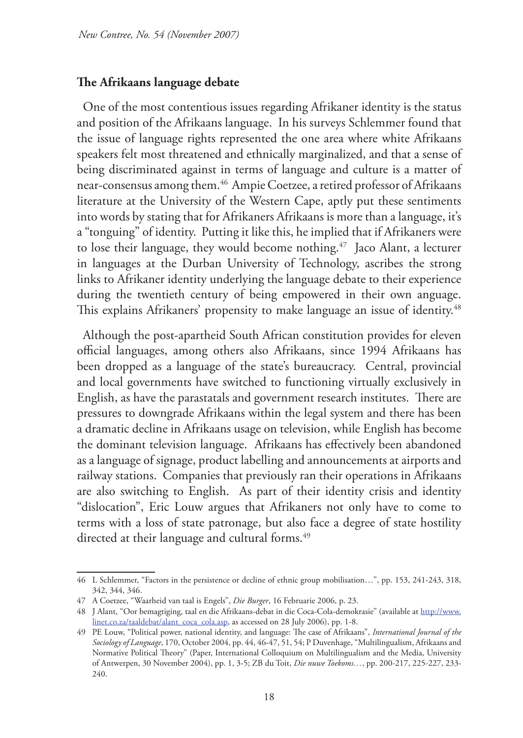# **The Afrikaans language debate**

One of the most contentious issues regarding Afrikaner identity is the status and position of the Afrikaans language. In his surveys Schlemmer found that the issue of language rights represented the one area where white Afrikaans speakers felt most threatened and ethnically marginalized, and that a sense of being discriminated against in terms of language and culture is a matter of near-consensus among them.46 Ampie Coetzee, a retired professor of Afrikaans literature at the University of the Western Cape, aptly put these sentiments into words by stating that for Afrikaners Afrikaans is more than a language, it's a "tonguing" of identity. Putting it like this, he implied that if Afrikaners were to lose their language, they would become nothing.<sup>47</sup> Jaco Alant, a lecturer in languages at the Durban University of Technology, ascribes the strong links to Afrikaner identity underlying the language debate to their experience during the twentieth century of being empowered in their own anguage. This explains Afrikaners' propensity to make language an issue of identity.<sup>48</sup>

Although the post-apartheid South African constitution provides for eleven official languages, among others also Afrikaans, since 1994 Afrikaans has been dropped as a language of the state's bureaucracy. Central, provincial and local governments have switched to functioning virtually exclusively in English, as have the parastatals and government research institutes. There are pressures to downgrade Afrikaans within the legal system and there has been a dramatic decline in Afrikaans usage on television, while English has become the dominant television language. Afrikaans has effectively been abandoned as a language of signage, product labelling and announcements at airports and railway stations. Companies that previously ran their operations in Afrikaans are also switching to English. As part of their identity crisis and identity "dislocation", Eric Louw argues that Afrikaners not only have to come to terms with a loss of state patronage, but also face a degree of state hostility directed at their language and cultural forms.<sup>49</sup>

<sup>46</sup> L Schlemmer, "Factors in the persistence or decline of ethnic group mobilisation…", pp. 153, 241-243, 318, 342, 344, 346.

<sup>47</sup> A Coetzee, "Waarheid van taal is Engels", *Die Burger*, 16 Februarie 2006, p. 23.

<sup>48</sup> J Alant, "Oor bemagtiging, taal en die Afrikaans-debat in die Coca-Cola-demokrasie" (available at http://www. linet.co.za/taaldebat/alant\_coca\_cola.asp, as accessed on 28 July 2006), pp. 1-8.

<sup>49</sup> PE Louw, "Political power, national identity, and language: The case of Afrikaans", *International Journal of the Sociology of Language*, 170, October 2004, pp. 44, 46-47, 51, 54; P Duvenhage, "Multilingualism, Afrikaans and Normative Political Theory" (Paper, International Colloquium on Multilingualism and the Media, University of Antwerpen, 30 November 2004), pp. 1, 3-5; ZB du Toit, *Die nuwe Toekoms…*, pp. 200-217, 225-227, 233- 240.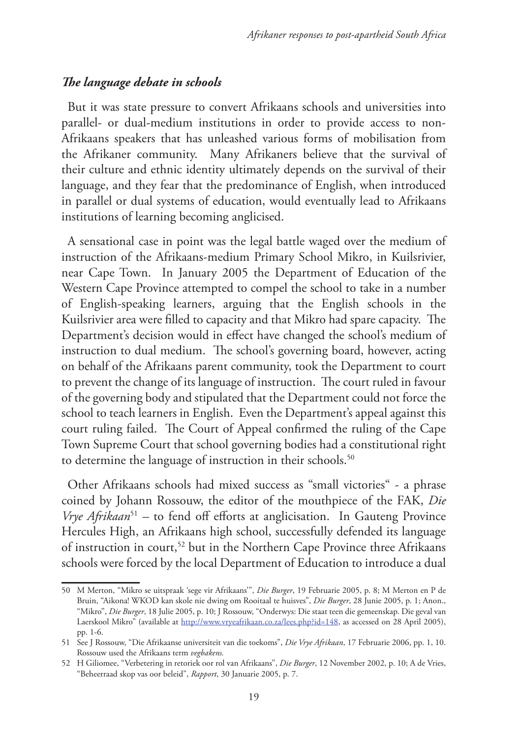# *The language debate in schools*

But it was state pressure to convert Afrikaans schools and universities into parallel- or dual-medium institutions in order to provide access to non-Afrikaans speakers that has unleashed various forms of mobilisation from the Afrikaner community. Many Afrikaners believe that the survival of their culture and ethnic identity ultimately depends on the survival of their language, and they fear that the predominance of English, when introduced in parallel or dual systems of education, would eventually lead to Afrikaans institutions of learning becoming anglicised.

A sensational case in point was the legal battle waged over the medium of instruction of the Afrikaans-medium Primary School Mikro, in Kuilsrivier, near Cape Town. In January 2005 the Department of Education of the Western Cape Province attempted to compel the school to take in a number of English-speaking learners, arguing that the English schools in the Kuilsrivier area were filled to capacity and that Mikro had spare capacity. The Department's decision would in effect have changed the school's medium of instruction to dual medium. The school's governing board, however, acting on behalf of the Afrikaans parent community, took the Department to court to prevent the change of its language of instruction. The court ruled in favour of the governing body and stipulated that the Department could not force the school to teach learners in English. Even the Department's appeal against this court ruling failed. The Court of Appeal confirmed the ruling of the Cape Town Supreme Court that school governing bodies had a constitutional right to determine the language of instruction in their schools.<sup>50</sup>

Other Afrikaans schools had mixed success as "small victories" - a phrase coined by Johann Rossouw, the editor of the mouthpiece of the FAK, *Die Vrye Afrikaan*<sup>51</sup> – to fend off efforts at anglicisation. In Gauteng Province Hercules High, an Afrikaans high school, successfully defended its language of instruction in court,<sup>52</sup> but in the Northern Cape Province three Afrikaans schools were forced by the local Department of Education to introduce a dual

<sup>50</sup> M Merton, "Mikro se uitspraak 'sege vir Afrikaans'", *Die Burger*, 19 Februarie 2005, p. 8; M Merton en P de Bruin, "Aikona! WKOD kan skole nie dwing om Rooitaal te huisves", *Die Burger*, 28 Junie 2005, p. 1; Anon., "Mikro", *Die Burger*, 18 Julie 2005, p. 10; J Rossouw, "Onderwys: Die staat teen die gemeenskap. Die geval van Laerskool Mikro" (available at http://www.vryeafrikaan.co.za/lees.php?id=148, as accessed on 28 April 2005), pp. 1-6.

<sup>51</sup> See J Rossouw, "Die Afrikaanse universiteit van die toekoms", *Die Vrye Afrikaan*, 17 Februarie 2006, pp. 1, 10. Rossouw used the Afrikaans term *vegbakens.*

<sup>52</sup> H Giliomee, "Verbetering in retoriek oor rol van Afrikaans", *Die Burger*, 12 November 2002, p. 10; A de Vries, "Beheerraad skop vas oor beleid", *Rapport*, 30 Januarie 2005, p. 7.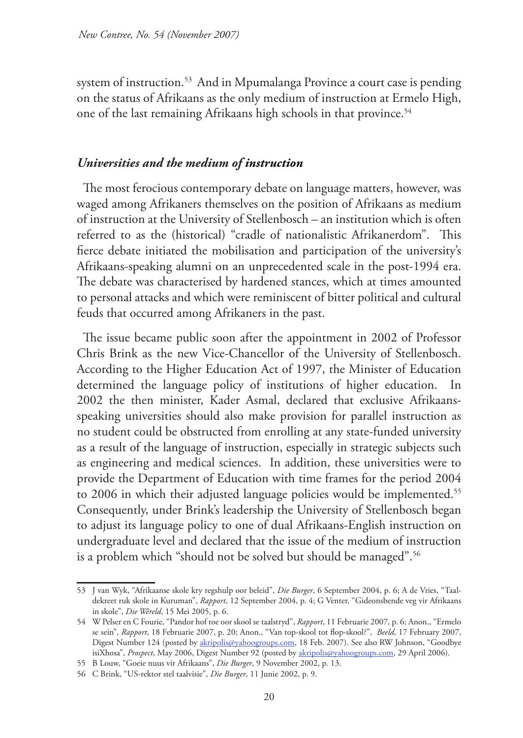system of instruction.<sup>53</sup> And in Mpumalanga Province a court case is pending on the status of Afrikaans as the only medium of instruction at Ermelo High, one of the last remaining Afrikaans high schools in that province.<sup>54</sup>

#### *Universities and the medium of instruction*

The most ferocious contemporary debate on language matters, however, was waged among Afrikaners themselves on the position of Afrikaans as medium of instruction at the University of Stellenbosch – an institution which is often referred to as the (historical) "cradle of nationalistic Afrikanerdom". This fierce debate initiated the mobilisation and participation of the university's Afrikaans-speaking alumni on an unprecedented scale in the post-1994 era. The debate was characterised by hardened stances, which at times amounted to personal attacks and which were reminiscent of bitter political and cultural feuds that occurred among Afrikaners in the past.

The issue became public soon after the appointment in 2002 of Professor Chris Brink as the new Vice-Chancellor of the University of Stellenbosch. According to the Higher Education Act of 1997, the Minister of Education determined the language policy of institutions of higher education. In 2002 the then minister, Kader Asmal, declared that exclusive Afrikaansspeaking universities should also make provision for parallel instruction as no student could be obstructed from enrolling at any state-funded university as a result of the language of instruction, especially in strategic subjects such as engineering and medical sciences. In addition, these universities were to provide the Department of Education with time frames for the period 2004 to 2006 in which their adjusted language policies would be implemented.<sup>55</sup> Consequently, under Brink's leadership the University of Stellenbosch began to adjust its language policy to one of dual Afrikaans-English instruction on undergraduate level and declared that the issue of the medium of instruction is a problem which "should not be solved but should be managed".<sup>56</sup>

<sup>53</sup> J van Wyk, "Afrikaanse skole kry regshulp oor beleid", *Die Burger*, 6 September 2004, p. 6; A de Vries, "Taaldekreet ruk skole in Kuruman", *Rapport*, 12 September 2004, p. 4; G Venter, "Gideonsbende veg vir Afrikaans in skole", *Die Wêreld*, 15 Mei 2005, p. 6.

<sup>54</sup> W Pelser en C Fourie, "Pandor hof toe oor skool se taalstryd", *Rapport*, 11 Februarie 2007, p. 6; Anon., "Ermelo se sein", *Rapport*, 18 Februarie 2007, p. 20; Anon., "Van top-skool tot flop-skool?", *Beeld*, 17 February 2007, Digest Number 124 (posted by akripolis@yahoogroups.com, 18 Feb. 2007). See also RW Johnson, "Goodbye isiXhosa", *Prospect*, May 2006, Digest Number 92 (posted by akripolis@yahoogroups.com, 29 April 2006).

<sup>55</sup> B Louw, "Goeie nuus vir Afrikaans", *Die Burger*, 9 November 2002, p. 13.

<sup>56</sup> C Brink, "US-rektor stel taalvisie", *Die Burger*, 11 Junie 2002, p. 9.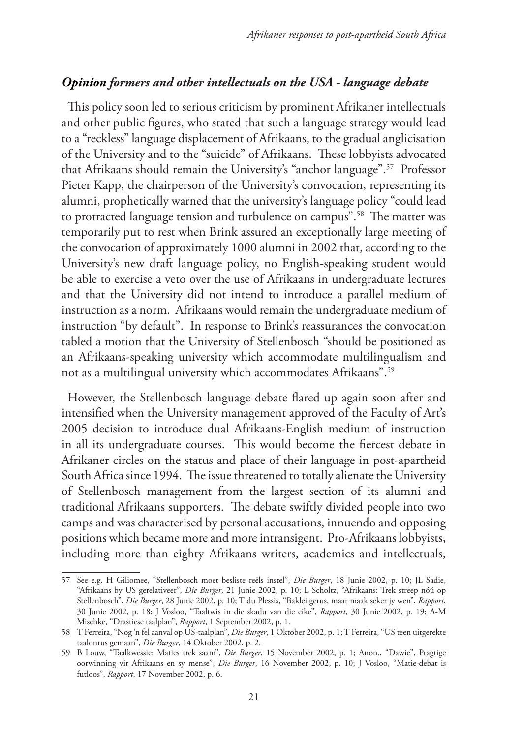# *Opinion formers and other intellectuals on the USA - language debate*

This policy soon led to serious criticism by prominent Afrikaner intellectuals and other public figures, who stated that such a language strategy would lead to a "reckless" language displacement of Afrikaans, to the gradual anglicisation of the University and to the "suicide" of Afrikaans. These lobbyists advocated that Afrikaans should remain the University's "anchor language".57 Professor Pieter Kapp, the chairperson of the University's convocation, representing its alumni, prophetically warned that the university's language policy "could lead to protracted language tension and turbulence on campus".58 The matter was temporarily put to rest when Brink assured an exceptionally large meeting of the convocation of approximately 1000 alumni in 2002 that, according to the University's new draft language policy, no English-speaking student would be able to exercise a veto over the use of Afrikaans in undergraduate lectures and that the University did not intend to introduce a parallel medium of instruction as a norm. Afrikaans would remain the undergraduate medium of instruction "by default". In response to Brink's reassurances the convocation tabled a motion that the University of Stellenbosch "should be positioned as an Afrikaans-speaking university which accommodate multilingualism and not as a multilingual university which accommodates Afrikaans".59

However, the Stellenbosch language debate flared up again soon after and intensified when the University management approved of the Faculty of Art's 2005 decision to introduce dual Afrikaans-English medium of instruction in all its undergraduate courses. This would become the fiercest debate in Afrikaner circles on the status and place of their language in post-apartheid South Africa since 1994. The issue threatened to totally alienate the University of Stellenbosch management from the largest section of its alumni and traditional Afrikaans supporters. The debate swiftly divided people into two camps and was characterised by personal accusations, innuendo and opposing positions which became more and more intransigent. Pro-Afrikaans lobbyists, including more than eighty Afrikaans writers, academics and intellectuals,

<sup>57</sup> See e.g. H Giliomee, "Stellenbosch moet besliste reëls instel", *Die Burger*, 18 Junie 2002, p. 10; JL Sadie, "Afrikaans by US gerelativeer", *Die Burger*, 21 Junie 2002, p. 10; L Scholtz, "Afrikaans: Trek streep nóú op Stellenbosch", *Die Burger*, 28 Junie 2002, p. 10; T du Plessis, "Baklei gerus, maar maak seker jy wen", *Rapport*, 30 Junie 2002, p. 18; J Vosloo, "Taaltwis in die skadu van die eike", *Rapport*, 30 Junie 2002, p. 19; A-M Mischke, "Drastiese taalplan", *Rapport*, 1 September 2002, p. 1.

<sup>58</sup> T Ferreira, "Nog 'n fel aanval op US-taalplan", *Die Burger*, 1 Oktober 2002, p. 1; T Ferreira, "US teen uitgerekte taalonrus gemaan", *Die Burger*, 14 Oktober 2002, p. 2.

<sup>59</sup> B Louw, "Taalkwessie: Maties trek saam", *Die Burger*, 15 November 2002, p. 1; Anon., "Dawie", Pragtige oorwinning vir Afrikaans en sy mense", *Die Burger*, 16 November 2002, p. 10; J Vosloo, "Matie-debat is futloos", *Rapport*, 17 November 2002, p. 6.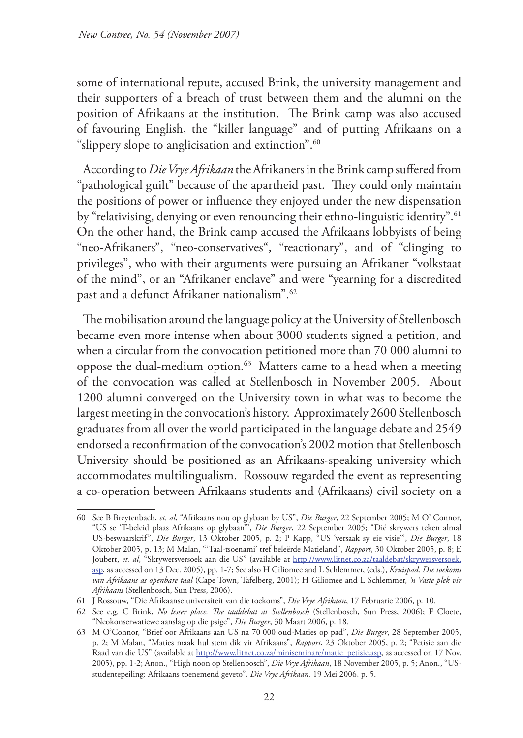some of international repute, accused Brink, the university management and their supporters of a breach of trust between them and the alumni on the position of Afrikaans at the institution. The Brink camp was also accused of favouring English, the "killer language" and of putting Afrikaans on a "slippery slope to anglicisation and extinction".<sup>60</sup>

According to *Die Vrye Afrikaan* the Afrikaners in the Brink camp suffered from "pathological guilt" because of the apartheid past. They could only maintain the positions of power or influence they enjoyed under the new dispensation by "relativising, denying or even renouncing their ethno-linguistic identity".<sup>61</sup> On the other hand, the Brink camp accused the Afrikaans lobbyists of being "neo-Afrikaners", "neo-conservatives", "reactionary", and of "clinging to privileges", who with their arguments were pursuing an Afrikaner "volkstaat of the mind", or an "Afrikaner enclave" and were "yearning for a discredited past and a defunct Afrikaner nationalism".62

The mobilisation around the language policy at the University of Stellenbosch became even more intense when about 3000 students signed a petition, and when a circular from the convocation petitioned more than 70 000 alumni to oppose the dual-medium option.<sup>63</sup> Matters came to a head when a meeting of the convocation was called at Stellenbosch in November 2005. About 1200 alumni converged on the University town in what was to become the largest meeting in the convocation's history. Approximately 2600 Stellenbosch graduates from all over the world participated in the language debate and 2549 endorsed a reconfirmation of the convocation's 2002 motion that Stellenbosch University should be positioned as an Afrikaans-speaking university which accommodates multilingualism. Rossouw regarded the event as representing a co-operation between Afrikaans students and (Afrikaans) civil society on a

<sup>60</sup> See B Breytenbach, *et. al*, "Afrikaans nou op glybaan by US", *Die Burger*, 22 September 2005; M O' Connor, "US se 'T-beleid plaas Afrikaans op glybaan'", *Die Burger*, 22 September 2005; "Dié skrywers teken almal US-beswaarskrif", *Die Burger*, 13 Oktober 2005, p. 2; P Kapp, "US 'versaak sy eie visie'", *Die Burger*, 18 Oktober 2005, p. 13; M Malan, "'Taal-tsoenami' tref beleërde Matieland", *Rapport*, 30 Oktober 2005, p. 8; E Joubert, et. al, "Skrywersversoek aan die US" (available at http://www.litnet.co.za/taaldebat/skrywersversoek. asp, as accessed on 13 Dec. 2005), pp. 1-7; See also H Giliomee and L Schlemmer, (eds.), *Kruispad. Die toekoms van Afrikaans as openbare taal* (Cape Town, Tafelberg, 2001); H Giliomee and L Schlemmer, *'n Vaste plek vir Afrikaans* (Stellenbosch, Sun Press, 2006).

<sup>61</sup> J Rossouw, "Die Afrikaanse universiteit van die toekoms", *Die Vrye Afrikaan*, 17 Februarie 2006, p. 10.

<sup>62</sup> See e.g. C Brink, *No lesser place. The taaldebat at Stellenbosch* (Stellenbosch, Sun Press, 2006); F Cloete, "Neokonserwatiewe aanslag op die psige", *Die Burger*, 30 Maart 2006, p. 18.

<sup>63</sup> M O'Connor, "Brief oor Afrikaans aan US na 70 000 oud-Maties op pad", *Die Burger*, 28 September 2005, p. 2; M Malan, "Maties maak hul stem dik vir Afrikaans", *Rapport*, 23 Oktober 2005, p. 2; "Petisie aan die Raad van die US" (available at http://www.litnet.co.za/miniseminare/matie\_petisie.asp, as accessed on 17 Nov. 2005), pp. 1-2; Anon., "High noon op Stellenbosch", *Die Vrye Afrikaan*, 18 November 2005, p. 5; Anon., "USstudentepeiling: Afrikaans toenemend geveto", *Die Vrye Afrikaan,* 19 Mei 2006, p. 5.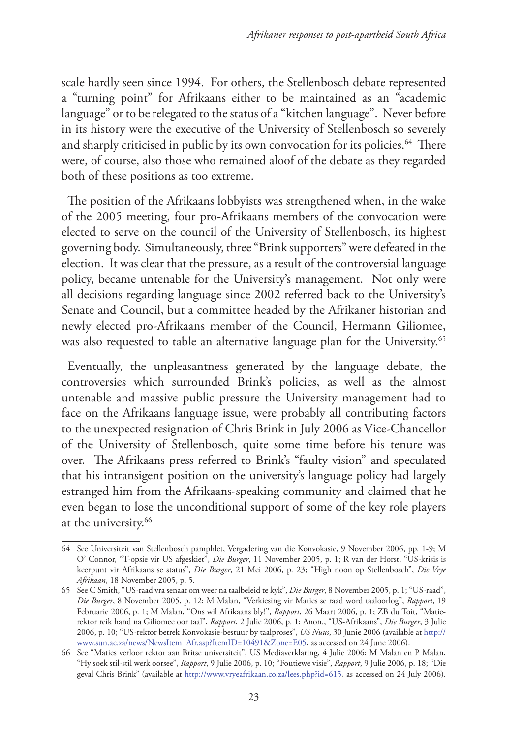scale hardly seen since 1994. For others, the Stellenbosch debate represented a "turning point" for Afrikaans either to be maintained as an "academic language" or to be relegated to the status of a "kitchen language". Never before in its history were the executive of the University of Stellenbosch so severely and sharply criticised in public by its own convocation for its policies.<sup>64</sup> There were, of course, also those who remained aloof of the debate as they regarded both of these positions as too extreme.

The position of the Afrikaans lobbyists was strengthened when, in the wake of the 2005 meeting, four pro-Afrikaans members of the convocation were elected to serve on the council of the University of Stellenbosch, its highest governing body. Simultaneously, three "Brink supporters" were defeated in the election. It was clear that the pressure, as a result of the controversial language policy, became untenable for the University's management. Not only were all decisions regarding language since 2002 referred back to the University's Senate and Council, but a committee headed by the Afrikaner historian and newly elected pro-Afrikaans member of the Council, Hermann Giliomee, was also requested to table an alternative language plan for the University.<sup>65</sup>

Eventually, the unpleasantness generated by the language debate, the controversies which surrounded Brink's policies, as well as the almost untenable and massive public pressure the University management had to face on the Afrikaans language issue, were probably all contributing factors to the unexpected resignation of Chris Brink in July 2006 as Vice-Chancellor of the University of Stellenbosch, quite some time before his tenure was over. The Afrikaans press referred to Brink's "faulty vision" and speculated that his intransigent position on the university's language policy had largely estranged him from the Afrikaans-speaking community and claimed that he even began to lose the unconditional support of some of the key role players at the university.<sup>66</sup>

<sup>64</sup> See Universiteit van Stellenbosch pamphlet, Vergadering van die Konvokasie, 9 November 2006, pp. 1-9; M O' Connor, "T-opsie vir US afgeskiet", *Die Burger*, 11 November 2005, p. 1; R van der Horst, "US-krisis is keerpunt vir Afrikaans se status", *Die Burger*, 21 Mei 2006, p. 23; "High noon op Stellenbosch", *Die Vrye Afrikaan*, 18 November 2005, p. 5.

<sup>65</sup> See C Smith, "US-raad vra senaat om weer na taalbeleid te kyk", *Die Burger*, 8 November 2005, p. 1; "US-raad", *Die Burger*, 8 November 2005, p. 12; M Malan, "Verkiesing vir Maties se raad word taaloorlog", *Rapport*, 19 Februarie 2006, p. 1; M Malan, "Ons wil Afrikaans bly!", *Rapport*, 26 Maart 2006, p. 1; ZB du Toit, "Matierektor reik hand na Giliomee oor taal", *Rapport*, 2 Julie 2006, p. 1; Anon., "US-Afrikaans", *Die Burger*, 3 Julie 2006, p. 10; "US-rektor betrek Konvokasie-bestuur by taalproses", *US Nuus*, 30 Junie 2006 (available at http:// www.sun.ac.za/news/NewsItem\_Afr.asp?ItemID=10491&Zone=E05, as accessed on 24 June 2006).

<sup>66</sup> See "Maties verloor rektor aan Britse universiteit", US Mediaverklaring, 4 Julie 2006; M Malan en P Malan, "Hy soek stil-stil werk oorsee", *Rapport*, 9 Julie 2006, p. 10; "Foutiewe visie", *Rapport*, 9 Julie 2006, p. 18; "Die geval Chris Brink" (available at http://www.vryeafrikaan.co.za/lees.php?id=615, as accessed on 24 July 2006).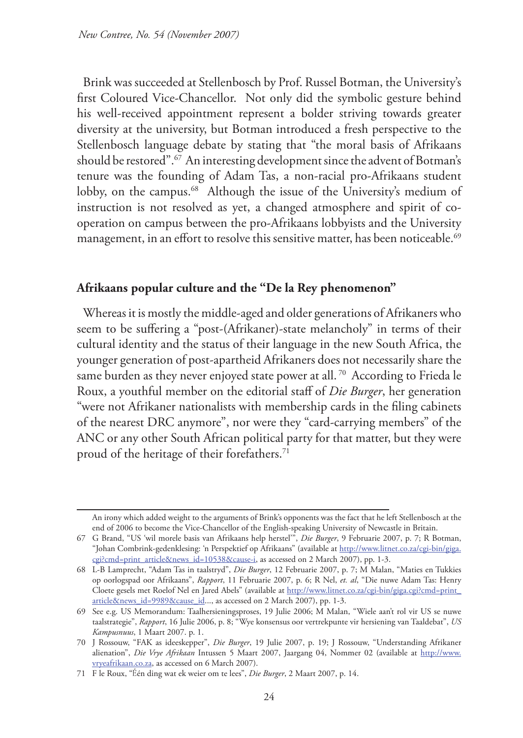Brink was succeeded at Stellenbosch by Prof. Russel Botman, the University's first Coloured Vice-Chancellor. Not only did the symbolic gesture behind his well-received appointment represent a bolder striving towards greater diversity at the university, but Botman introduced a fresh perspective to the Stellenbosch language debate by stating that "the moral basis of Afrikaans should be restored".67 An interesting development since the advent of Botman's tenure was the founding of Adam Tas, a non-racial pro-Afrikaans student lobby, on the campus.<sup>68</sup> Although the issue of the University's medium of instruction is not resolved as yet, a changed atmosphere and spirit of cooperation on campus between the pro-Afrikaans lobbyists and the University management, in an effort to resolve this sensitive matter, has been noticeable.<sup>69</sup>

#### **Afrikaans popular culture and the "De la Rey phenomenon"**

Whereas it is mostly the middle-aged and older generations of Afrikaners who seem to be suffering a "post-(Afrikaner)-state melancholy" in terms of their cultural identity and the status of their language in the new South Africa, the younger generation of post-apartheid Afrikaners does not necessarily share the same burden as they never enjoyed state power at all.<sup>70</sup> According to Frieda le Roux, a youthful member on the editorial staff of *Die Burger*, her generation "were not Afrikaner nationalists with membership cards in the filing cabinets of the nearest DRC anymore", nor were they "card-carrying members" of the ANC or any other South African political party for that matter, but they were proud of the heritage of their forefathers.<sup>71</sup>

An irony which added weight to the arguments of Brink's opponents was the fact that he left Stellenbosch at the end of 2006 to become the Vice-Chancellor of the English-speaking University of Newcastle in Britain.

<sup>67</sup> G Brand, "US 'wil morele basis van Afrikaans help herstel'", *Die Burger*, 9 Februarie 2007, p. 7; R Botman, "Johan Combrink-gedenklesing: 'n Perspektief op Afrikaans" (available at http://www.litnet.co.za/cgi-bin/giga. cgi?cmd=print\_article&news\_id=10538&cause-i, as accessed on 2 March 2007), pp. 1-3.

<sup>68</sup> L-B Lamprecht, "Adam Tas in taalstryd", *Die Burger*, 12 Februarie 2007, p. 7; M Malan, "Maties en Tukkies op oorlogspad oor Afrikaans", *Rapport*, 11 Februarie 2007, p. 6; R Nel, *et. al*, "Die nuwe Adam Tas: Henry Cloete gesels met Roelof Nel en Jared Abels" (available at http://www.litnet.co.za/cgi-bin/giga.cgi?cmd=print\_ article&news\_id=9989&cause\_id..., as accessed on 2 March 2007), pp. 1-3.

<sup>69</sup> See e.g. US Memorandum: Taalhersieningsproses, 19 Julie 2006; M Malan, "Wiele aan't rol vir US se nuwe taalstrategie", *Rapport*, 16 Julie 2006, p. 8; "Wye konsensus oor vertrekpunte vir hersiening van Taaldebat", *US Kampusnuus*, 1 Maart 2007. p. 1.

<sup>70</sup> J Rossouw, "FAK as ideeskepper", *Die Burger*, 19 Julie 2007, p. 19; J Rossouw, "Understanding Afrikaner alienation", *Die Vrye Afrikaan* Intussen 5 Maart 2007, Jaargang 04, Nommer 02 (available at http://www. vryeafrikaan.co.za, as accessed on 6 March 2007).

<sup>71</sup> F le Roux, "Één ding wat ek weier om te lees", *Die Burger*, 2 Maart 2007, p. 14.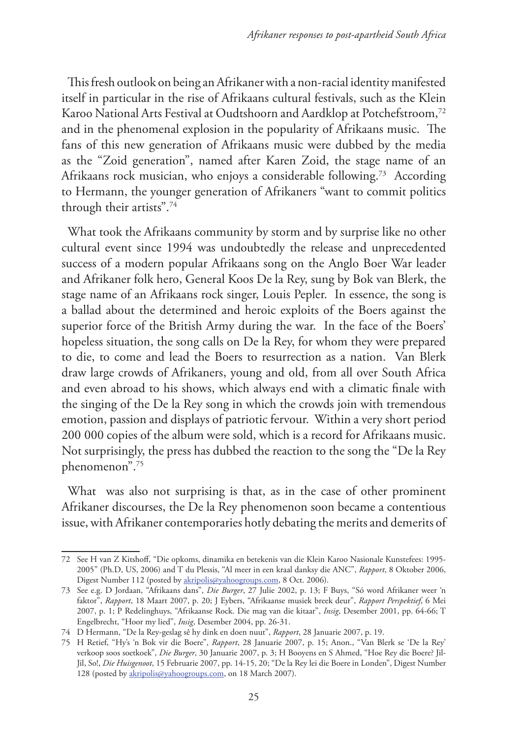This fresh outlook on being an Afrikaner with a non-racial identity manifested itself in particular in the rise of Afrikaans cultural festivals, such as the Klein Karoo National Arts Festival at Oudtshoorn and Aardklop at Potchefstroom,<sup>72</sup> and in the phenomenal explosion in the popularity of Afrikaans music. The fans of this new generation of Afrikaans music were dubbed by the media as the "Zoid generation", named after Karen Zoid, the stage name of an Afrikaans rock musician, who enjoys a considerable following.73 According to Hermann, the younger generation of Afrikaners "want to commit politics through their artists".74

What took the Afrikaans community by storm and by surprise like no other cultural event since 1994 was undoubtedly the release and unprecedented success of a modern popular Afrikaans song on the Anglo Boer War leader and Afrikaner folk hero, General Koos De la Rey, sung by Bok van Blerk, the stage name of an Afrikaans rock singer, Louis Pepler. In essence, the song is a ballad about the determined and heroic exploits of the Boers against the superior force of the British Army during the war. In the face of the Boers' hopeless situation, the song calls on De la Rey, for whom they were prepared to die, to come and lead the Boers to resurrection as a nation. Van Blerk draw large crowds of Afrikaners, young and old, from all over South Africa and even abroad to his shows, which always end with a climatic finale with the singing of the De la Rey song in which the crowds join with tremendous emotion, passion and displays of patriotic fervour. Within a very short period 200 000 copies of the album were sold, which is a record for Afrikaans music. Not surprisingly, the press has dubbed the reaction to the song the "De la Rey phenomenon".75

What was also not surprising is that, as in the case of other prominent Afrikaner discourses, the De la Rey phenomenon soon became a contentious issue, with Afrikaner contemporaries hotly debating the merits and demerits of

<sup>72</sup> See H van Z Kitshoff, "Die opkoms, dinamika en betekenis van die Klein Karoo Nasionale Kunstefees: 1995- 2005" (Ph.D, US, 2006) and T du Plessis, "Al meer in een kraal danksy die ANC", *Rapport*, 8 Oktober 2006, Digest Number 112 (posted by akripolis@yahoogroups.com, 8 Oct. 2006).

<sup>73</sup> See e.g. D Jordaan, "Afrikaans dans", *Die Burger*, 27 Julie 2002, p. 13; F Buys, "Só word Afrikaner weer 'n faktor", *Rapport*, 18 Maart 2007, p. 20; J Eybers, "Afrikaanse musiek breek deur", *Rapport Perspektief*, 6 Mei 2007, p. 1; P Redelinghuys, "Afrikaanse Rock. Die mag van die kitaar", *Insig*, Desember 2001, pp. 64-66; T Engelbrecht, "Hoor my lied", *Insig*, Desember 2004, pp. 26-31.

<sup>74</sup> D Hermann, "De la Rey-geslag sê hy dink en doen nuut", *Rapport*, 28 Januarie 2007, p. 19.

<sup>75</sup> H Retief, "Hy's 'n Bok vir die Boere", *Rapport*, 28 Januarie 2007, p. 15; Anon., "Van Blerk se 'De la Rey' verkoop soos soetkoek", *Die Burger*, 30 Januarie 2007, p. 3; H Booyens en S Ahmed, "Hoe Rey die Boere? Jil-Jil, So!, *Die Huisgenoot*, 15 Februarie 2007, pp. 14-15, 20; "De la Rey lei die Boere in Londen", Digest Number 128 (posted by akripolis@yahoogroups.com, on 18 March 2007).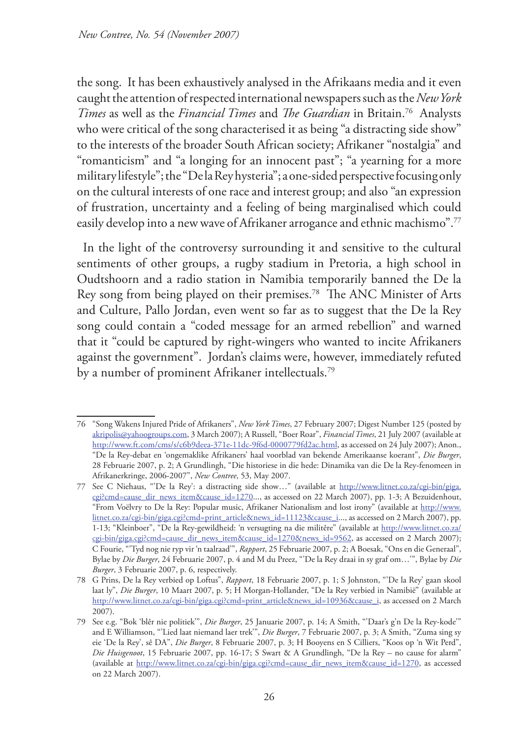the song. It has been exhaustively analysed in the Afrikaans media and it even caught the attention of respected international newspapers such as the *New York Times* as well as the *Financial Times* and *The Guardian* in Britain.76 Analysts who were critical of the song characterised it as being "a distracting side show" to the interests of the broader South African society; Afrikaner "nostalgia" and "romanticism" and "a longing for an innocent past"; "a yearning for a more military lifestyle"; the "De la Rey hysteria"; a one-sided perspective focusing only on the cultural interests of one race and interest group; and also "an expression of frustration, uncertainty and a feeling of being marginalised which could easily develop into a new wave of Afrikaner arrogance and ethnic machismo".<sup>77</sup>

In the light of the controversy surrounding it and sensitive to the cultural sentiments of other groups, a rugby stadium in Pretoria, a high school in Oudtshoorn and a radio station in Namibia temporarily banned the De la Rey song from being played on their premises.78 The ANC Minister of Arts and Culture, Pallo Jordan, even went so far as to suggest that the De la Rey song could contain a "coded message for an armed rebellion" and warned that it "could be captured by right-wingers who wanted to incite Afrikaners against the government". Jordan's claims were, however, immediately refuted by a number of prominent Afrikaner intellectuals.79

<sup>76</sup> "Song Wakens Injured Pride of Afrikaners", *New York Times*, 27 February 2007; Digest Number 125 (posted by akripolis@yahoogroups.com, 3 March 2007); A Russell, "Boer Roar", *Financial Times*, 21 July 2007 (available at http://www.ft.com/cms/s/c6b9deea-371e-11dc-9f6d-0000779fd2ac.html, as accessed on 24 July 2007); Anon., "De la Rey-debat en 'ongemaklike Afrikaners' haal voorblad van bekende Amerikaanse koerant", *Die Burger*, 28 Februarie 2007, p. 2; A Grundlingh, "Die historiese in die hede: Dinamika van die De la Rey-fenomeen in Afrikanerkringe, 2006-2007", *New Contree*, 53, May 2007.

<sup>77</sup> See C Niehaus, "'De la Rey': a distracting side show…" (available at http://www.litnet.co.za/cgi-bin/giga. cgi?cmd=cause\_dir\_news\_item&cause\_id=1270..., as accessed on 22 March 2007), pp. 1-3; A Bezuidenhout, "From Voëlvry to De la Rey: Popular music, Afrikaner Nationalism and lost irony" (available at http://www. litnet.co.za/cgi-bin/giga.cgi?cmd=print\_article&news\_id=11123&cause\_i..., as accessed on 2 March 2007), pp. 1-13; "Kleinboer", "De la Rey-gewildheid: 'n versugting na die militêre" (available at http://www.litnet.co.za/ cgi-bin/giga.cgi?cmd=cause\_dir\_news\_item&cause\_id=1270&news\_id=9562, as accessed on 2 March 2007); C Fourie, "'Tyd nog nie ryp vir 'n taalraad'", *Rapport*, 25 Februarie 2007, p. 2; A Boesak, "Ons en die Generaal", Bylae by *Die Burger*, 24 Februarie 2007, p. 4 and M du Preez, "'De la Rey draai in sy graf om…'", Bylae by *Die Burger*, 3 Februarie 2007, p. 6, respectively.

<sup>78</sup> G Prins, De la Rey verbied op Loftus", *Rapport*, 18 Februarie 2007, p. 1; S Johnston, "'De la Rey' gaan skool laat ly", *Die Burger*, 10 Maart 2007, p. 5; H Morgan-Hollander, "De la Rey verbied in Namibië" (available at http://www.litnet.co.za/cgi-bin/giga.cgi?cmd=print\_article&news\_id=10936&cause\_i, as accessed on 2 March 2007).

<sup>79</sup> See e.g. "Bok 'blêr nie politiek'", *Die Burger*, 25 Januarie 2007, p. 14; A Smith, "'Daar's g'n De la Rey-kode'" and E Williamson, "'Lied laat niemand laer trek'", *Die Burger*, 7 Februarie 2007, p. 3; A Smith, "Zuma sing sy eie 'De la Rey', sê DA", *Die Burger*, 8 Februarie 2007, p. 3; H Booyens en S Cilliers, "Koos op 'n Wit Perd", *Die Huisgenoot*, 15 Februarie 2007, pp. 16-17; S Swart & A Grundlingh, "De la Rey – no cause for alarm" (available at http://www.litnet.co.za/cgi-bin/giga.cgi?cmd=cause\_dir\_news\_item&cause\_id=1270, as accessed on 22 March 2007).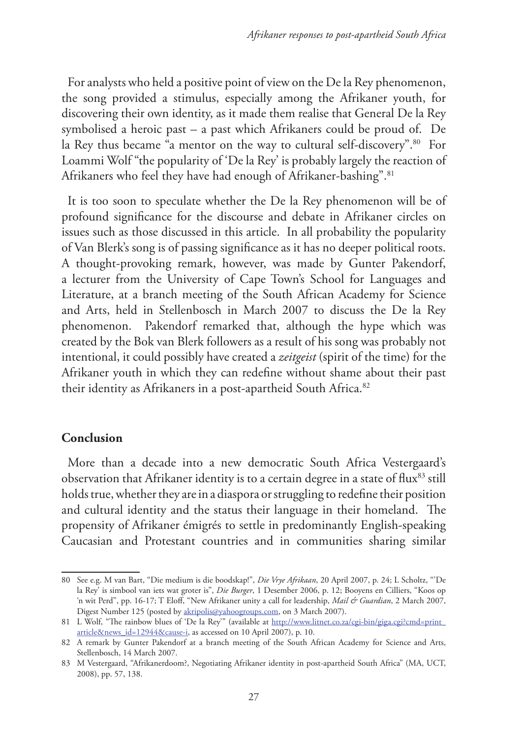For analysts who held a positive point of view on the De la Rey phenomenon, the song provided a stimulus, especially among the Afrikaner youth, for discovering their own identity, as it made them realise that General De la Rey symbolised a heroic past – a past which Afrikaners could be proud of. De la Rey thus became "a mentor on the way to cultural self-discovery".<sup>80</sup> For Loammi Wolf "the popularity of 'De la Rey' is probably largely the reaction of Afrikaners who feel they have had enough of Afrikaner-bashing".<sup>81</sup>

It is too soon to speculate whether the De la Rey phenomenon will be of profound significance for the discourse and debate in Afrikaner circles on issues such as those discussed in this article. In all probability the popularity of Van Blerk's song is of passing significance as it has no deeper political roots. A thought-provoking remark, however, was made by Gunter Pakendorf, a lecturer from the University of Cape Town's School for Languages and Literature, at a branch meeting of the South African Academy for Science and Arts, held in Stellenbosch in March 2007 to discuss the De la Rey phenomenon. Pakendorf remarked that, although the hype which was created by the Bok van Blerk followers as a result of his song was probably not intentional, it could possibly have created a *zeitgeist* (spirit of the time) for the Afrikaner youth in which they can redefine without shame about their past their identity as Afrikaners in a post-apartheid South Africa.<sup>82</sup>

# **Conclusion**

More than a decade into a new democratic South Africa Vestergaard's observation that Afrikaner identity is to a certain degree in a state of flux<sup>83</sup> still holds true, whether they are in a diaspora or struggling to redefine their position and cultural identity and the status their language in their homeland. The propensity of Afrikaner émigrés to settle in predominantly English-speaking Caucasian and Protestant countries and in communities sharing similar

<sup>80</sup> See e.g. M van Bart, "Die medium is die boodskap!", *Die Vrye Afrikaan*, 20 April 2007, p. 24; L Scholtz, "'De la Rey' is simbool van iets wat groter is", *Die Burger*, 1 Desember 2006, p. 12; Booyens en Cilliers, "Koos op 'n wit Perd", pp. 16-17; T Eloff, "New Afrikaner unity a call for leadership, *Mail & Guardian*, 2 March 2007, Digest Number 125 (posted by akripolis@yahoogroups.com, on 3 March 2007).

<sup>81</sup> L Wolf, "The rainbow blues of 'De la Rey'" (available at http://www.litnet.co.za/cgi-bin/giga.cgi?cmd=print\_ article&news\_id=12944&cause-i, as accessed on 10 April 2007), p. 10.

<sup>82</sup> A remark by Gunter Pakendorf at a branch meeting of the South African Academy for Science and Arts, Stellenbosch, 14 March 2007.

<sup>83</sup> M Vestergaard, "Afrikanerdoom?, Negotiating Afrikaner identity in post-apartheid South Africa" (MA, UCT, 2008), pp. 57, 138.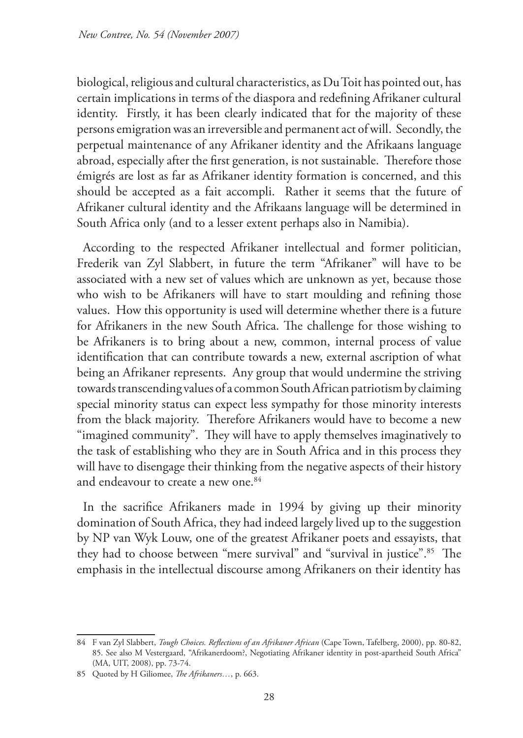biological, religious and cultural characteristics, as Du Toit has pointed out, has certain implications in terms of the diaspora and redefining Afrikaner cultural identity. Firstly, it has been clearly indicated that for the majority of these persons emigration was an irreversible and permanent act of will. Secondly, the perpetual maintenance of any Afrikaner identity and the Afrikaans language abroad, especially after the first generation, is not sustainable. Therefore those émigrés are lost as far as Afrikaner identity formation is concerned, and this should be accepted as a fait accompli. Rather it seems that the future of Afrikaner cultural identity and the Afrikaans language will be determined in South Africa only (and to a lesser extent perhaps also in Namibia).

According to the respected Afrikaner intellectual and former politician, Frederik van Zyl Slabbert, in future the term "Afrikaner" will have to be associated with a new set of values which are unknown as yet, because those who wish to be Afrikaners will have to start moulding and refining those values. How this opportunity is used will determine whether there is a future for Afrikaners in the new South Africa. The challenge for those wishing to be Afrikaners is to bring about a new, common, internal process of value identification that can contribute towards a new, external ascription of what being an Afrikaner represents. Any group that would undermine the striving towards transcending values of a common South African patriotism by claiming special minority status can expect less sympathy for those minority interests from the black majority. Therefore Afrikaners would have to become a new "imagined community". They will have to apply themselves imaginatively to the task of establishing who they are in South Africa and in this process they will have to disengage their thinking from the negative aspects of their history and endeavour to create a new one.<sup>84</sup>

In the sacrifice Afrikaners made in 1994 by giving up their minority domination of South Africa, they had indeed largely lived up to the suggestion by NP van Wyk Louw, one of the greatest Afrikaner poets and essayists, that they had to choose between "mere survival" and "survival in justice".<sup>85</sup> The emphasis in the intellectual discourse among Afrikaners on their identity has

<sup>84</sup> F van Zyl Slabbert, *Tough Choices. Reflections of an Afrikaner African* (Cape Town, Tafelberg, 2000), pp. 80-82, 85. See also M Vestergaard, "Afrikanerdoom?, Negotiating Afrikaner identity in post-apartheid South Africa" (MA, UIT, 2008), pp. 73-74.

<sup>85</sup> Quoted by H Giliomee, *The Afrikaners…*, p. 663.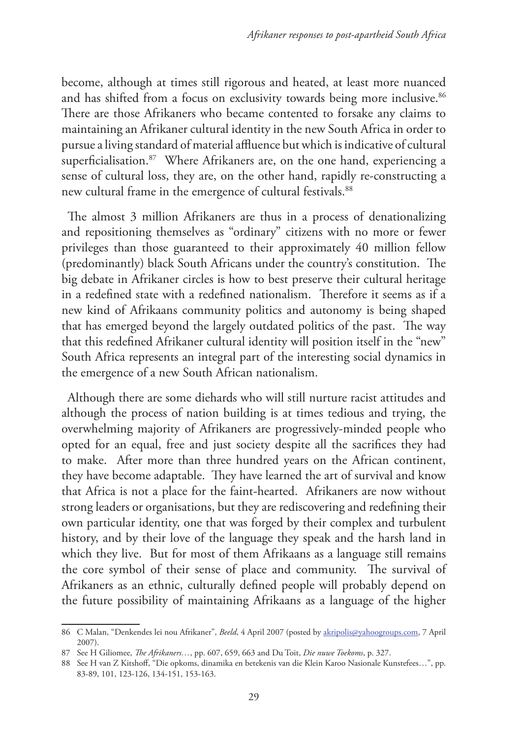become, although at times still rigorous and heated, at least more nuanced and has shifted from a focus on exclusivity towards being more inclusive.<sup>86</sup> There are those Afrikaners who became contented to forsake any claims to maintaining an Afrikaner cultural identity in the new South Africa in order to pursue a living standard of material affluence but which is indicative of cultural superficialisation.<sup>87</sup> Where Afrikaners are, on the one hand, experiencing a sense of cultural loss, they are, on the other hand, rapidly re-constructing a new cultural frame in the emergence of cultural festivals.<sup>88</sup>

The almost 3 million Afrikaners are thus in a process of denationalizing and repositioning themselves as "ordinary" citizens with no more or fewer privileges than those guaranteed to their approximately 40 million fellow (predominantly) black South Africans under the country's constitution. The big debate in Afrikaner circles is how to best preserve their cultural heritage in a redefined state with a redefined nationalism. Therefore it seems as if a new kind of Afrikaans community politics and autonomy is being shaped that has emerged beyond the largely outdated politics of the past. The way that this redefined Afrikaner cultural identity will position itself in the "new" South Africa represents an integral part of the interesting social dynamics in the emergence of a new South African nationalism.

Although there are some diehards who will still nurture racist attitudes and although the process of nation building is at times tedious and trying, the overwhelming majority of Afrikaners are progressively-minded people who opted for an equal, free and just society despite all the sacrifices they had to make. After more than three hundred years on the African continent, they have become adaptable. They have learned the art of survival and know that Africa is not a place for the faint-hearted. Afrikaners are now without strong leaders or organisations, but they are rediscovering and redefining their own particular identity, one that was forged by their complex and turbulent history, and by their love of the language they speak and the harsh land in which they live. But for most of them Afrikaans as a language still remains the core symbol of their sense of place and community. The survival of Afrikaners as an ethnic, culturally defined people will probably depend on the future possibility of maintaining Afrikaans as a language of the higher

<sup>86</sup> C Malan, "Denkendes lei nou Afrikaner", *Beeld*, 4 April 2007 (posted by akripolis@yahoogroups.com, 7 April 2007).

<sup>87</sup> See H Giliomee, *The Afrikaners…*, pp. 607, 659, 663 and Du Toit, *Die nuwe Toekoms*, p. 327.

<sup>88</sup> See H van Z Kitshoff, "Die opkoms, dinamika en betekenis van die Klein Karoo Nasionale Kunstefees…", pp. 83-89, 101, 123-126, 134-151, 153-163.